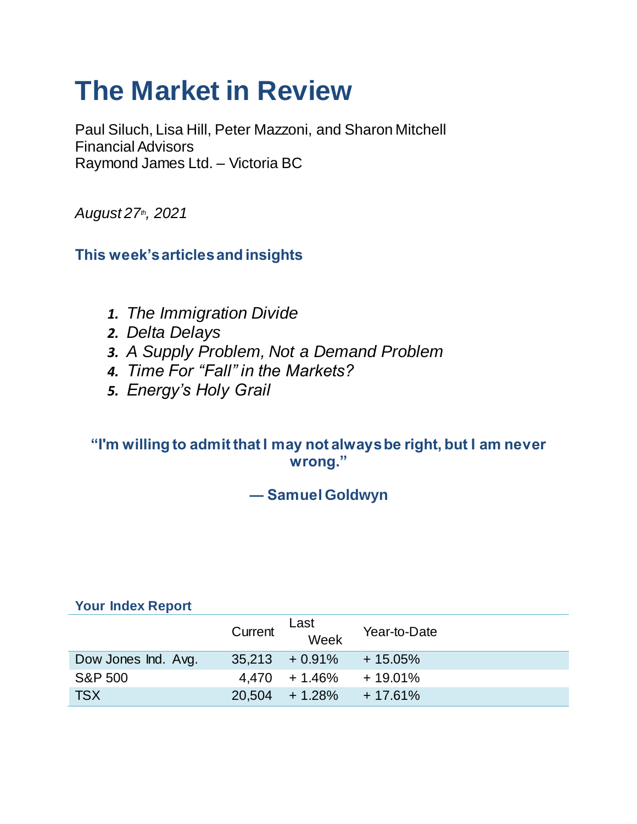# **The Market in Review**

Paul Siluch, Lisa Hill, Peter Mazzoni, and Sharon Mitchell Financial Advisors Raymond James Ltd. – Victoria BC

*August 27th, 2021*

**This week's articles and insights**

- *1. The Immigration Divide*
- *2. Delta Delays*
- *3. A Supply Problem, Not a Demand Problem*
- *4. Time For "Fall" in the Markets?*
- *5. Energy's Holy Grail*

### **"I'm willing to admit that I may not always be right, but I am never wrong."**

**― Samuel Goldwyn**

### **Your Index Report**

|                     | Current | Last<br>Week      | Year-to-Date |
|---------------------|---------|-------------------|--------------|
| Dow Jones Ind. Avg. |         | $35,213 + 0.91\%$ | $+15.05\%$   |
| S&P 500             |         | $4,470 + 1.46\%$  | $+19.01\%$   |
| <b>TSX</b>          |         | $20.504 + 1.28\%$ | $+17.61%$    |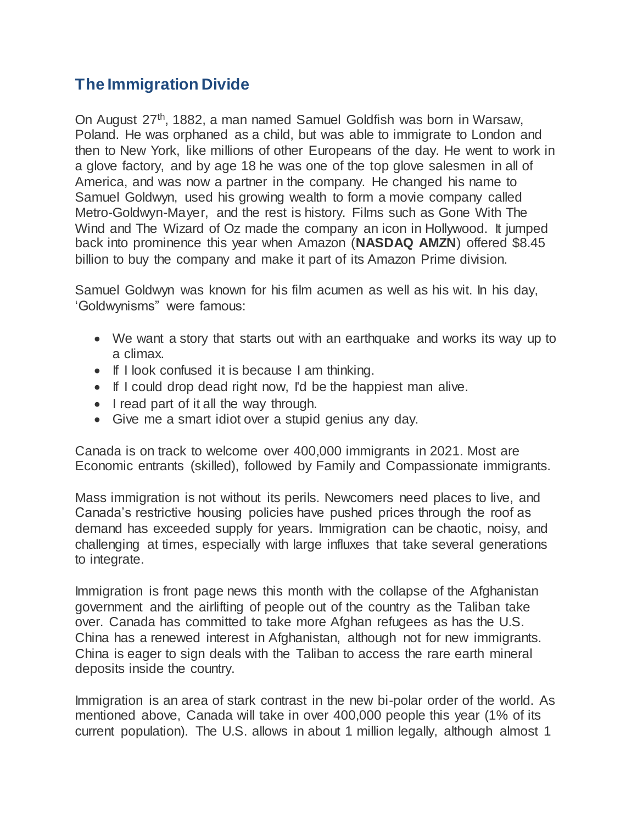## **The Immigration Divide**

On August 27<sup>th</sup>, 1882, a man named Samuel Goldfish was born in Warsaw, Poland. He was orphaned as a child, but was able to immigrate to London and then to New York, like millions of other Europeans of the day. He went to work in a glove factory, and by age 18 he was one of the top glove salesmen in all of America, and was now a partner in the company. He changed his name to Samuel Goldwyn, used his growing wealth to form a movie company called Metro-Goldwyn-Mayer, and the rest is history. Films such as Gone With The Wind and The Wizard of Oz made the company an icon in Hollywood. It jumped back into prominence this year when Amazon (**NASDAQ AMZN**) offered \$8.45 billion to buy the company and make it part of its Amazon Prime division.

Samuel Goldwyn was known for his film acumen as well as his wit. In his day, 'Goldwynisms" were famous:

- We want a story that starts out with an earthquake and works its way up to a climax.
- If I look confused it is because I am thinking.
- If I could drop dead right now, I'd be the happiest man alive.
- I read part of it all the way through.
- Give me a smart idiot over a stupid genius any day.

Canada is on track to welcome over 400,000 immigrants in 2021. Most are Economic entrants (skilled), followed by Family and Compassionate immigrants.

Mass immigration is not without its perils. Newcomers need places to live, and Canada's restrictive housing policies have pushed prices through the roof as demand has exceeded supply for years. Immigration can be chaotic, noisy, and challenging at times, especially with large influxes that take several generations to integrate.

Immigration is front page news this month with the collapse of the Afghanistan government and the airlifting of people out of the country as the Taliban take over. Canada has committed to take more Afghan refugees as has the U.S. China has a renewed interest in Afghanistan, although not for new immigrants. China is eager to sign deals with the Taliban to access the rare earth mineral deposits inside the country.

Immigration is an area of stark contrast in the new bi-polar order of the world. As mentioned above, Canada will take in over 400,000 people this year (1% of its current population). The U.S. allows in about 1 million legally, although almost 1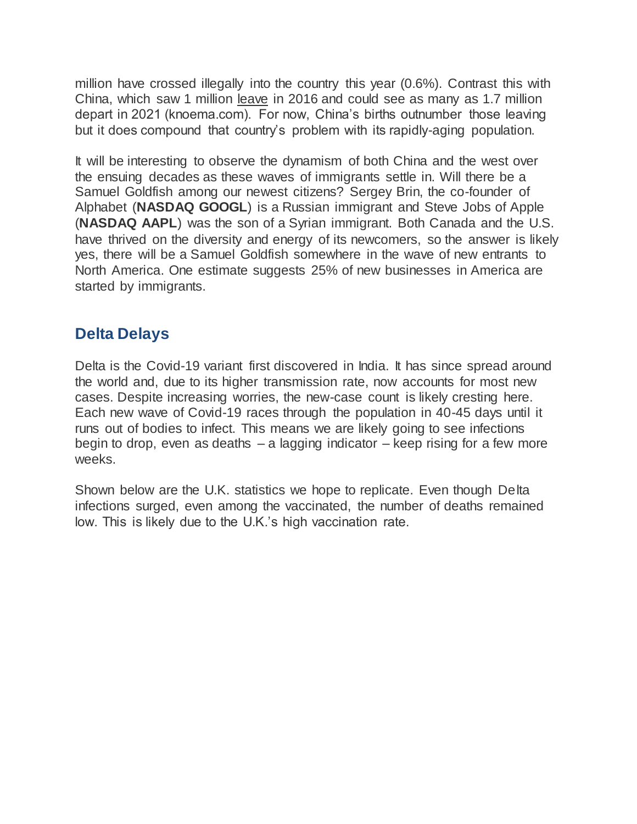million have crossed illegally into the country this year (0.6%). Contrast this with China, which saw 1 million leave in 2016 and could see as many as 1.7 million depart in 2021 (knoema.com). For now, China's births outnumber those leaving but it does compound that country's problem with its rapidly-aging population.

It will be interesting to observe the dynamism of both China and the west over the ensuing decades as these waves of immigrants settle in. Will there be a Samuel Goldfish among our newest citizens? Sergey Brin, the co-founder of Alphabet (**NASDAQ GOOGL**) is a Russian immigrant and Steve Jobs of Apple (**NASDAQ AAPL**) was the son of a Syrian immigrant. Both Canada and the U.S. have thrived on the diversity and energy of its newcomers, so the answer is likely yes, there will be a Samuel Goldfish somewhere in the wave of new entrants to North America. One estimate suggests 25% of new businesses in America are started by immigrants.

### **Delta Delays**

Delta is the Covid-19 variant first discovered in India. It has since spread around the world and, due to its higher transmission rate, now accounts for most new cases. Despite increasing worries, the new-case count is likely cresting here. Each new wave of Covid-19 races through the population in 40-45 days until it runs out of bodies to infect. This means we are likely going to see infections begin to drop, even as deaths  $-$  a lagging indicator  $-$  keep rising for a few more weeks.

Shown below are the U.K. statistics we hope to replicate. Even though Delta infections surged, even among the vaccinated, the number of deaths remained low. This is likely due to the U.K.'s high vaccination rate.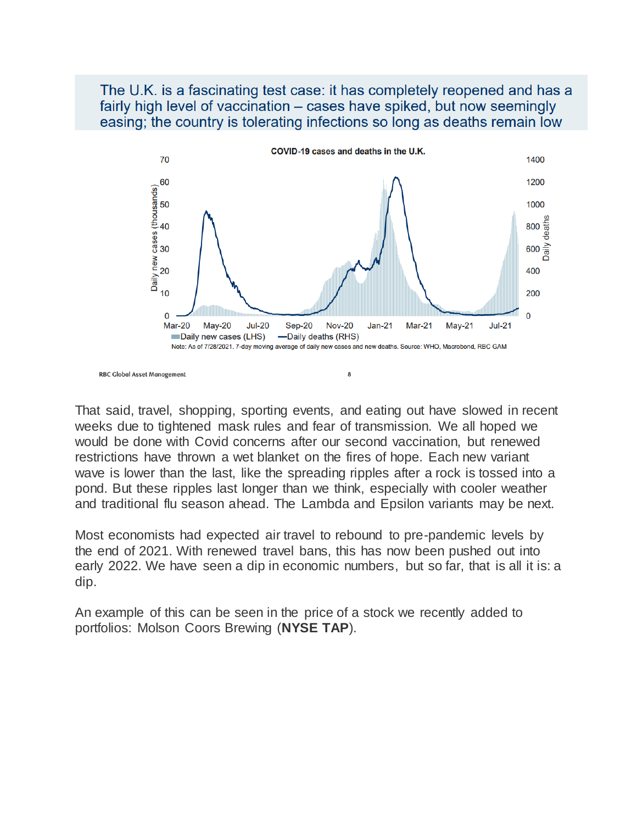### The U.K. is a fascinating test case: it has completely reopened and has a fairly high level of vaccination – cases have spiked, but now seemingly easing; the country is tolerating infections so long as deaths remain low



**RBC Global Asset Management** 

That said, travel, shopping, sporting events, and eating out have slowed in recent weeks due to tightened mask rules and fear of transmission. We all hoped we would be done with Covid concerns after our second vaccination, but renewed restrictions have thrown a wet blanket on the fires of hope. Each new variant wave is lower than the last, like the spreading ripples after a rock is tossed into a pond. But these ripples last longer than we think, especially with cooler weather and traditional flu season ahead. The Lambda and Epsilon variants may be next.

Most economists had expected air travel to rebound to pre-pandemic levels by the end of 2021. With renewed travel bans, this has now been pushed out into early 2022. We have seen a dip in economic numbers, but so far, that is all it is: a dip.

An example of this can be seen in the price of a stock we recently added to portfolios: Molson Coors Brewing (**NYSE TAP**).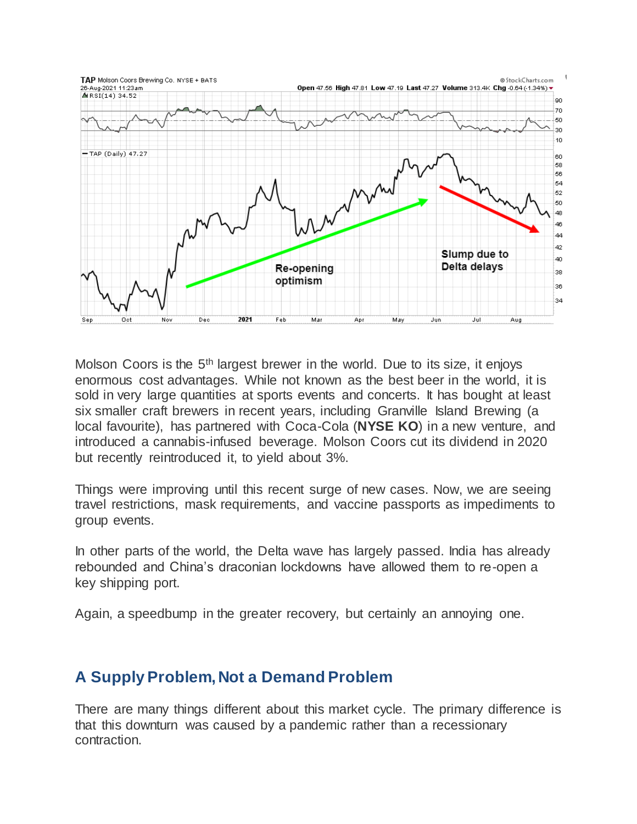

Molson Coors is the  $5<sup>th</sup>$  largest brewer in the world. Due to its size, it enjoys enormous cost advantages. While not known as the best beer in the world, it is sold in very large quantities at sports events and concerts. It has bought at least six smaller craft brewers in recent years, including Granville Island Brewing (a local favourite), has partnered with Coca-Cola (**NYSE KO**) in a new venture, and introduced a cannabis-infused beverage. Molson Coors cut its dividend in 2020 but recently reintroduced it, to yield about 3%.

Things were improving until this recent surge of new cases. Now, we are seeing travel restrictions, mask requirements, and vaccine passports as impediments to group events.

In other parts of the world, the Delta wave has largely passed. India has already rebounded and China's draconian lockdowns have allowed them to re-open a key shipping port.

Again, a speedbump in the greater recovery, but certainly an annoying one.

### **A Supply Problem, Not a Demand Problem**

There are many things different about this market cycle. The primary difference is that this downturn was caused by a pandemic rather than a recessionary contraction.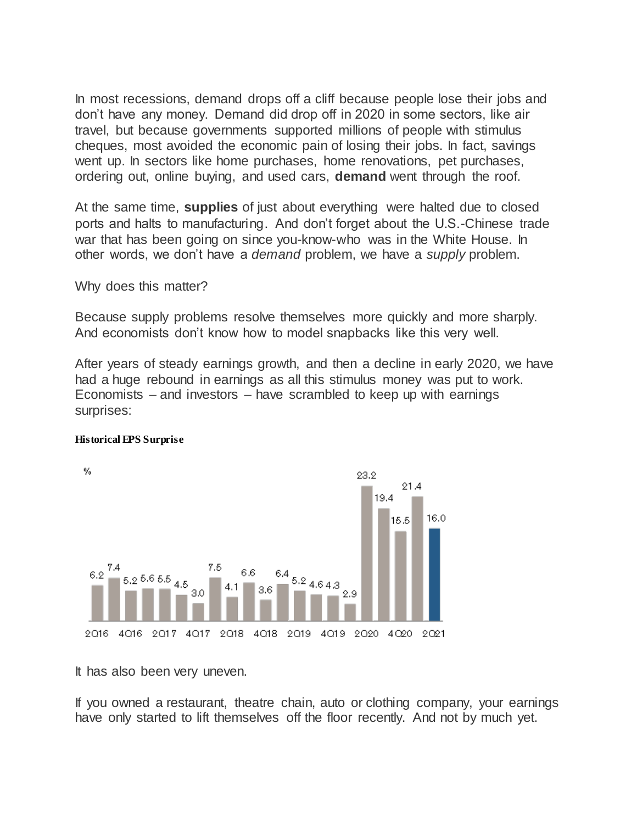In most recessions, demand drops off a cliff because people lose their jobs and don't have any money. Demand did drop off in 2020 in some sectors, like air travel, but because governments supported millions of people with stimulus cheques, most avoided the economic pain of losing their jobs. In fact, savings went up. In sectors like home purchases, home renovations, pet purchases, ordering out, online buying, and used cars, **demand** went through the roof.

At the same time, **supplies** of just about everything were halted due to closed ports and halts to manufacturing. And don't forget about the U.S.-Chinese trade war that has been going on since you-know-who was in the White House. In other words, we don't have a *demand* problem, we have a *supply* problem.

Why does this matter?

Because supply problems resolve themselves more quickly and more sharply. And economists don't know how to model snapbacks like this very well.

After years of steady earnings growth, and then a decline in early 2020, we have had a huge rebound in earnings as all this stimulus money was put to work. Economists – and investors – have scrambled to keep up with earnings surprises:



#### **Historical EPS Surprise**

It has also been very uneven.

If you owned a restaurant, theatre chain, auto or clothing company, your earnings have only started to lift themselves off the floor recently. And not by much yet.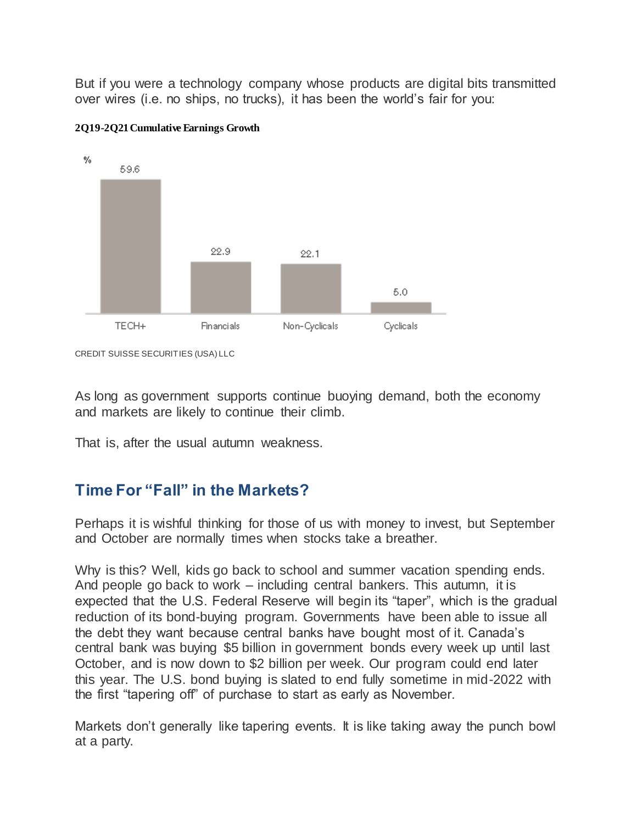But if you were a technology company whose products are digital bits transmitted over wires (i.e. no ships, no trucks), it has been the world's fair for you:



#### **2Q19-2Q21 Cumulative Earnings Growth**

As long as government supports continue buoying demand, both the economy and markets are likely to continue their climb.

That is, after the usual autumn weakness.

### **Time For "Fall" in the Markets?**

Perhaps it is wishful thinking for those of us with money to invest, but September and October are normally times when stocks take a breather.

Why is this? Well, kids go back to school and summer vacation spending ends. And people go back to work – including central bankers. This autumn, it is expected that the U.S. Federal Reserve will begin its "taper", which is the gradual reduction of its bond-buying program. Governments have been able to issue all the debt they want because central banks have bought most of it. Canada's central bank was buying \$5 billion in government bonds every week up until last October, and is now down to \$2 billion per week. Our program could end later this year. The U.S. bond buying is slated to end fully sometime in mid-2022 with the first "tapering off" of purchase to start as early as November.

Markets don't generally like tapering events. It is like taking away the punch bowl at a party.

CREDIT SUISSE SECURITIES (USA) LLC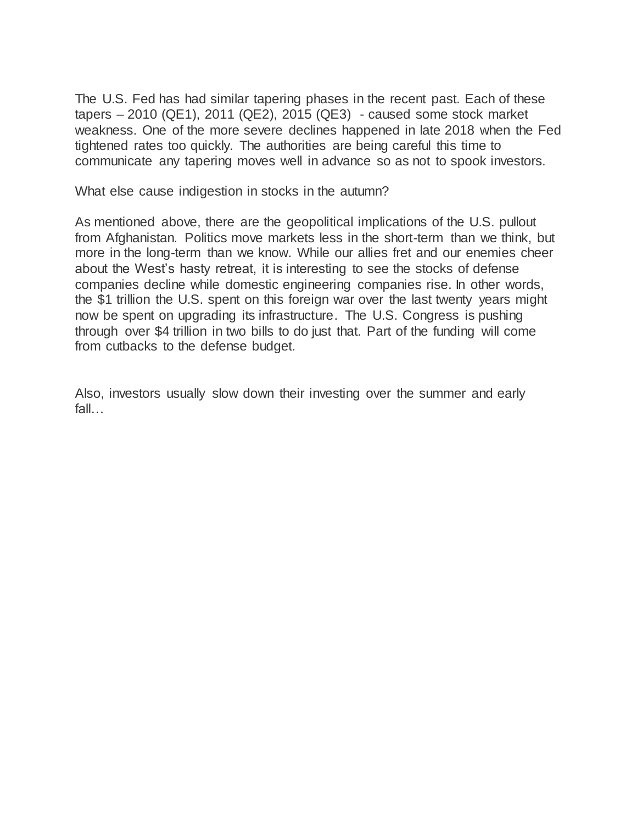The U.S. Fed has had similar tapering phases in the recent past. Each of these tapers – 2010 (QE1), 2011 (QE2), 2015 (QE3) - caused some stock market weakness. One of the more severe declines happened in late 2018 when the Fed tightened rates too quickly. The authorities are being careful this time to communicate any tapering moves well in advance so as not to spook investors.

What else cause indigestion in stocks in the autumn?

As mentioned above, there are the geopolitical implications of the U.S. pullout from Afghanistan. Politics move markets less in the short-term than we think, but more in the long-term than we know. While our allies fret and our enemies cheer about the West's hasty retreat, it is interesting to see the stocks of defense companies decline while domestic engineering companies rise. In other words, the \$1 trillion the U.S. spent on this foreign war over the last twenty years might now be spent on upgrading its infrastructure. The U.S. Congress is pushing through over \$4 trillion in two bills to do just that. Part of the funding will come from cutbacks to the defense budget.

Also, investors usually slow down their investing over the summer and early fall…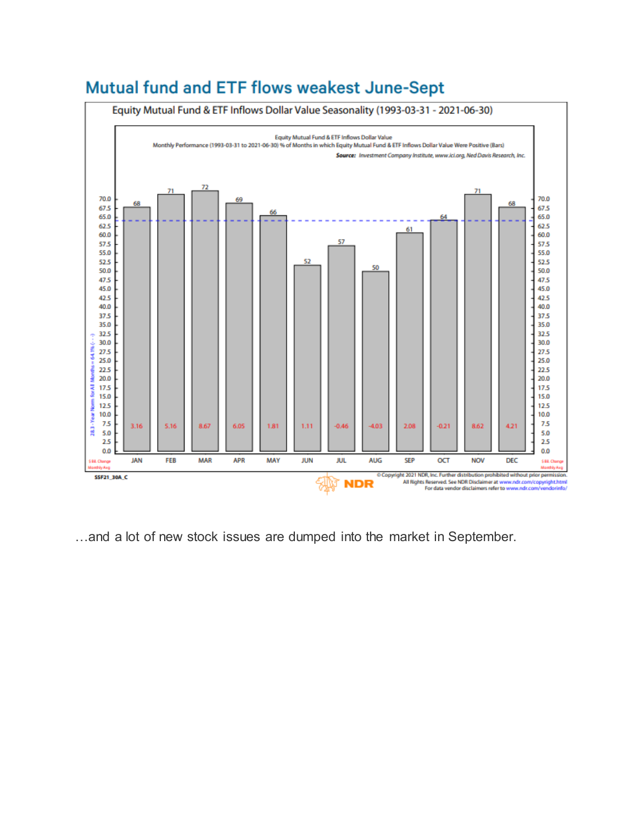



…and a lot of new stock issues are dumped into the market in September.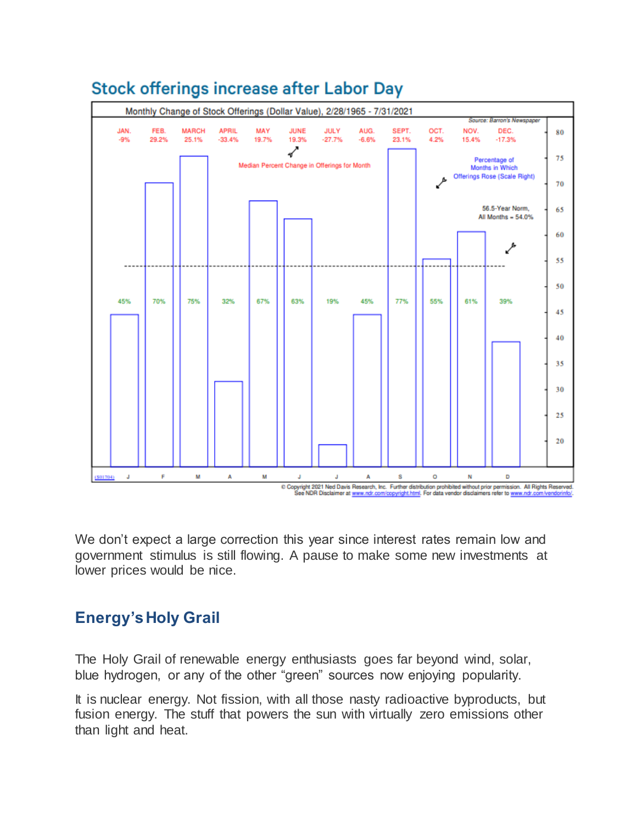

# **Stock offerings increase after Labor Day**

We don't expect a large correction this year since interest rates remain low and government stimulus is still flowing. A pause to make some new investments at lower prices would be nice.

### **Energy's Holy Grail**

The Holy Grail of renewable energy enthusiasts goes far beyond wind, solar, blue hydrogen, or any of the other "green" sources now enjoying popularity.

It is nuclear energy. Not fission, with all those nasty radioactive byproducts, but fusion energy. The stuff that powers the sun with virtually zero emissions other than light and heat.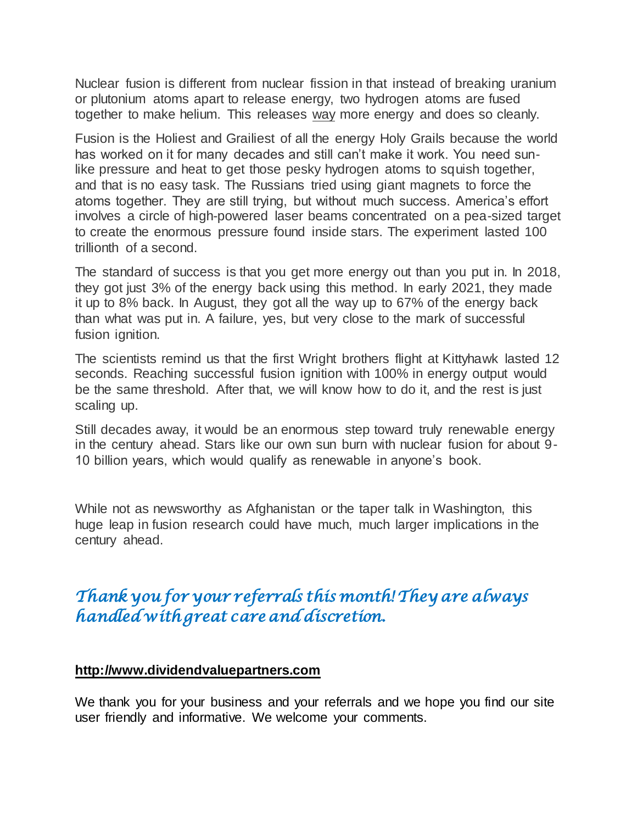Nuclear fusion is different from nuclear fission in that instead of breaking uranium or plutonium atoms apart to release energy, two hydrogen atoms are fused together to make helium. This releases way more energy and does so cleanly.

Fusion is the Holiest and Grailiest of all the energy Holy Grails because the world has worked on it for many decades and still can't make it work. You need sunlike pressure and heat to get those pesky hydrogen atoms to squish together, and that is no easy task. The Russians tried using giant magnets to force the atoms together. They are still trying, but without much success. America's effort involves a circle of high-powered laser beams concentrated on a pea-sized target to create the enormous pressure found inside stars. The experiment lasted 100 trillionth of a second.

The standard of success is that you get more energy out than you put in. In 2018, they got just 3% of the energy back using this method. In early 2021, they made it up to 8% back. In August, they got all the way up to 67% of the energy back than what was put in. A failure, yes, but very close to the mark of successful fusion *ignition*.

The scientists remind us that the first Wright brothers flight at Kittyhawk lasted 12 seconds. Reaching successful fusion ignition with 100% in energy output would be the same threshold. After that, we will know how to do it, and the rest is just scaling up.

Still decades away, it would be an enormous step toward truly renewable energy in the century ahead. Stars like our own sun burn with nuclear fusion for about 9- 10 billion years, which would qualify as renewable in anyone's book.

While not as newsworthy as Afghanistan or the taper talk in Washington, this huge leap in fusion research could have much, much larger implications in the century ahead.

# *Thank you for your referrals this month! They are always handled with great care and discretion.*

#### **[http://www.dividendvaluepartners.com](https://urldefense.proofpoint.com/v2/url?u=https-3A__na01.safelinks.protection.outlook.com_-3Furl-3Dhttps-253A-252F-252Furldefense.proofpoint.com-252Fv2-252Furl-253Fu-253Dhttps-2D3A-5F-5Fnam11.safelinks.protection.outlook.com-5F-2D3Furl-2D3Dhttps-2D253A-2D252F-2D252Furldefense.proofpoint.com-2D252Fv2-2D252Furl-2D253Fu-2D253Dhttp-2D2D3A-2D5F-2D5Fwww.dividendvaluepartners.com-2D2526d-2D253DDwMFAw-2D2526c-2D253DK3dQCUGiI1B95NJ6cl3GoyhMW2dvBOfimZA-2D2D83UXll0-2D2526r-2D253D-2D5F6MBBSGYsFznIBwslhTiqBKEz4pHUCTd-2D5F9tbh-2D5FEpUMY-2D2526m-2D253DscBAtuMDuWZwK1IVr5YXjdB6aRS-2D2DfaGHAMq3jOn6sJU-2D2526s-2D253DenZqe4ZgcjH-2D5F33x5dT-2D2DvZq9A37d4AhNkXvjc6AbmYww-2D2526e-2D253D-2D26data-2D3D02-2D257C01-2D257C-2D257Cc172461ecbee4482512908d85e8192cf-2D257C84df9e7fe9f640afb435aaaaaaaaaaaa-2D257C1-2D257C0-2D257C637363258183615686-2D26sdata-2D3DewMvepveEmLgP7SL0jTlvLtATqW9IhbJ2C3UL0Em04c-2D253D-2D26reserved-2D3D0-2526d-253DDwMF-2Dg-2526c-253DK3dQCUGiI1B95NJ6cl3GoyhMW2dvBOfimZA-2D83UXll0-2526r-253D-5F6MBBSGYsFznIBwslhTiqBKEz4pHUCTd-5F9tbh-5FEpUMY-2526m-253D7qOaEnVxLdGuCP74qXGTNk9xkBSFm8R3CYYmRfTv9PQ-2526s-253DW8OEBAbaLee5suYwpNsPIikduscCx0SIuOWzAWRhAvc-2526e-253D-26data-3D04-257C01-257C-257Cd7befaa6204e4970b3c708d940d9c59b-257C84df9e7fe9f640afb435aaaaaaaaaaaa-257C1-257C0-257C637612126570747664-257CUnknown-257CTWFpbGZsb3d8eyJWIjoiMC4wLjAwMDAiLCJQIjoiV2luMzIiLCJBTiI6Ik1haWwiLCJXVCI6Mn0-253D-257C1000-26sdata-3DXHDuRL9htcGHCyG2hM-252BdTEOf1Bh8t-252BJ4FZMnSIBO5ik-253D-26reserved-3D0&d=DwMGaQ&c=6lBq1l7u-nYp55J7Pl8O6Ib5YT4g76ov0zCpXQrgS5M&r=TmDOHaoWW3RetfvnGoPae_UczKZXXQgvJPe_P66GVYI&m=Hg8p8oxWBi-8j3HS2BzGxBvIXidcreERuI3mj9N1_KY&s=st9rMvZC9cnEMD4IqMaRfJa_flcWIkk1-2PG6qR-qfE&e=)**

We thank you for your business and your referrals and we hope you find our site user friendly and informative. We welcome your comments.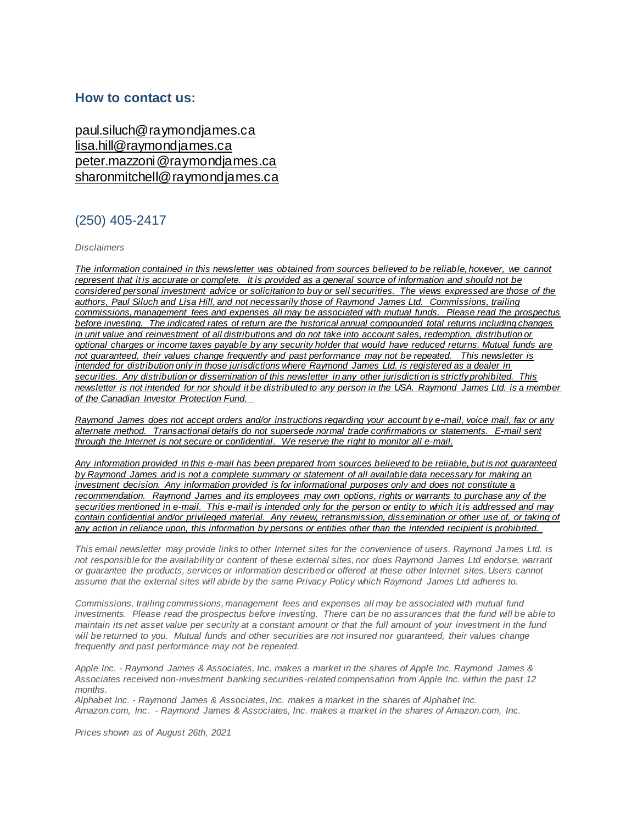#### **How to contact us:**

[paul.siluch@raymondjames.ca](https://urldefense.proofpoint.com/v2/url?u=https-3A__na01.safelinks.protection.outlook.com_-3Furl-3Dhttps-253A-252F-252Furldefense.proofpoint.com-252Fv2-252Furl-253Fu-253Dhttps-2D3A-5F-5Fnam11.safelinks.protection.outlook.com-5F-2D3Furl-2D3Dhttps-2D253A-2D252F-2D252Fowa-2D2Dkel.raymondjames.ca-2D252Fowa-2D252Fredir.aspx-2D253FSURL-2D253Dz0BxOCXDlQ-2D2DAad1f-2D5Fa9igaARxm5Rd1VXE7UcmD4mZ3IZiacj7DPTCG0AYQBpAGwAdABvADoAcABhAHUAbAAuAHMAaQBsAHUAYwBoAEAAcgBhAHkAbQBvAG4AZABqAGEAbQBlAHMALgBjAGEA-2D2526URL-2D253Dmailto-2D25253apaul.siluch-2D252540raymondjames.ca-2D26data-2D3D02-2D257C01-2D257C-2D257Cc172461ecbee4482512908d85e8192cf-2D257C84df9e7fe9f640afb435aaaaaaaaaaaa-2D257C1-2D257C0-2D257C637363258183625679-2D26sdata-2D3DHJ7PtuamH3ey-2D252Bis0LQS7WLUtHpHoAnxnHrYxprmWKn4-2D253D-2D26reserved-2D3D0-2526d-253DDwMF-2Dg-2526c-253DK3dQCUGiI1B95NJ6cl3GoyhMW2dvBOfimZA-2D83UXll0-2526r-253D-5F6MBBSGYsFznIBwslhTiqBKEz4pHUCTd-5F9tbh-5FEpUMY-2526m-253D7qOaEnVxLdGuCP74qXGTNk9xkBSFm8R3CYYmRfTv9PQ-2526s-253DTKyIHrHn9jy3BGThbM3t6qa96Jt8NZSlnsJ21h5JIRM-2526e-253D-26data-3D04-257C01-257C-257Cd7befaa6204e4970b3c708d940d9c59b-257C84df9e7fe9f640afb435aaaaaaaaaaaa-257C1-257C0-257C637612126570757658-257CUnknown-257CTWFpbGZsb3d8eyJWIjoiMC4wLjAwMDAiLCJQIjoiV2luMzIiLCJBTiI6Ik1haWwiLCJXVCI6Mn0-253D-257C1000-26sdata-3DtSsTaE4gEuMLlAfRWRmi27n2azhUH-252FJQmjG-252FZzaiK5c-253D-26reserved-3D0&d=DwMGaQ&c=6lBq1l7u-nYp55J7Pl8O6Ib5YT4g76ov0zCpXQrgS5M&r=TmDOHaoWW3RetfvnGoPae_UczKZXXQgvJPe_P66GVYI&m=Hg8p8oxWBi-8j3HS2BzGxBvIXidcreERuI3mj9N1_KY&s=jmLVDhJSd1TJ4bMBNqpGj99vIekOC2VHC3jJMzP02hU&e=) [lisa.hill@raymondjames.ca](https://urldefense.proofpoint.com/v2/url?u=https-3A__na01.safelinks.protection.outlook.com_-3Furl-3Dhttps-253A-252F-252Furldefense.proofpoint.com-252Fv2-252Furl-253Fu-253Dhttps-2D3A-5F-5Fnam11.safelinks.protection.outlook.com-5F-2D3Furl-2D3Dhttps-2D253A-2D252F-2D252Fowa-2D2Dkel.raymondjames.ca-2D252Fowa-2D252Fredir.aspx-2D253FSURL-2D253DglaBgdTdxPMFpiw4eumg-2D2DPzZXpo9vJyObrXLs1TKtIAZiacj7DPTCG0AYQBpAGwAdABvADoAbABpAHMAYQAuAGgAaQBsAGwAQAByAGEAeQBtAG8AbgBkAGoAYQBtAGUAcwAuAGMAYQA.-2D2526URL-2D253Dmailto-2D25253alisa.hill-2D252540raymondjames.ca-2D26data-2D3D02-2D257C01-2D257C-2D257Cc172461ecbee4482512908d85e8192cf-2D257C84df9e7fe9f640afb435aaaaaaaaaaaa-2D257C1-2D257C0-2D257C637363258183625679-2D26sdata-2D3DlqUdr0V-2D252Bbj4LaURrM2MSPIDvGfk5bLYx0U1BkRoTrH4-2D253D-2D26reserved-2D3D0-2526d-253DDwMF-2Dg-2526c-253DK3dQCUGiI1B95NJ6cl3GoyhMW2dvBOfimZA-2D83UXll0-2526r-253D-5F6MBBSGYsFznIBwslhTiqBKEz4pHUCTd-5F9tbh-5FEpUMY-2526m-253D7qOaEnVxLdGuCP74qXGTNk9xkBSFm8R3CYYmRfTv9PQ-2526s-253Dc8alCSC-2Db4YnoP6-2D1kuPw-5FKdDfdlIvu8oQ-5Fwi3WtrQw-2526e-253D-26data-3D04-257C01-257C-257Cd7befaa6204e4970b3c708d940d9c59b-257C84df9e7fe9f640afb435aaaaaaaaaaaa-257C1-257C0-257C637612126570767658-257CUnknown-257CTWFpbGZsb3d8eyJWIjoiMC4wLjAwMDAiLCJQIjoiV2luMzIiLCJBTiI6Ik1haWwiLCJXVCI6Mn0-253D-257C1000-26sdata-3DmbkMF6OZzdEQL5epcHGHh3oDqQhUOkTuKZIDl6XG-252FdU-253D-26reserved-3D0&d=DwMGaQ&c=6lBq1l7u-nYp55J7Pl8O6Ib5YT4g76ov0zCpXQrgS5M&r=TmDOHaoWW3RetfvnGoPae_UczKZXXQgvJPe_P66GVYI&m=Hg8p8oxWBi-8j3HS2BzGxBvIXidcreERuI3mj9N1_KY&s=PBdSi3I-fggf2z2DNlsTu3IuS77Mx_WOJqyL2HH0698&e=) [peter.mazzoni@raymondjames.ca](https://urldefense.proofpoint.com/v2/url?u=https-3A__na01.safelinks.protection.outlook.com_-3Furl-3Dhttps-253A-252F-252Furldefense.proofpoint.com-252Fv2-252Furl-253Fu-253Dhttps-2D3A-5F-5Fnam11.safelinks.protection.outlook.com-5F-2D3Furl-2D3Dhttps-2D253A-2D252F-2D252Fowa-2D2Dkel.raymondjames.ca-2D252Fowa-2D252Fredir.aspx-2D253FSURL-2D253D3c7mDL9-2D2DcZxYXt7CvkOu20QVFy1WCaDQxUZ3BQE6vecZiacj7DPTCG0AYQBpAGwAdABvADoAcABlAHQAZQByAC4AbQBhAHoAegBvAG4AaQBAAHIAYQB5AG0AbwBuAGQAagBhAG0AZQBzAC4AYwBhAA..-2D2526URL-2D253Dmailto-2D25253apeter.mazzoni-2D252540raymondjames.ca-2D26data-2D3D02-2D257C01-2D257C-2D257Cc172461ecbee4482512908d85e8192cf-2D257C84df9e7fe9f640afb435aaaaaaaaaaaa-2D257C1-2D257C0-2D257C637363258183635674-2D26sdata-2D3D1suYGaoqcgH5k419ERrAlAGzpG-2D252BufP-2D252FAE-2D252FdOZxq8Cus-2D253D-2D26reserved-2D3D0-2526d-253DDwMF-2Dg-2526c-253DK3dQCUGiI1B95NJ6cl3GoyhMW2dvBOfimZA-2D83UXll0-2526r-253D-5F6MBBSGYsFznIBwslhTiqBKEz4pHUCTd-5F9tbh-5FEpUMY-2526m-253D7qOaEnVxLdGuCP74qXGTNk9xkBSFm8R3CYYmRfTv9PQ-2526s-253Dmwchq7c2WnuY-2DoLgiUBkMdFmrEXBtoSxe2YfSBkWXZU-2526e-253D-26data-3D04-257C01-257C-257Cd7befaa6204e4970b3c708d940d9c59b-257C84df9e7fe9f640afb435aaaaaaaaaaaa-257C1-257C0-257C637612126570777650-257CUnknown-257CTWFpbGZsb3d8eyJWIjoiMC4wLjAwMDAiLCJQIjoiV2luMzIiLCJBTiI6Ik1haWwiLCJXVCI6Mn0-253D-257C1000-26sdata-3DnVeeP1CL6-252FQeO1CpTWrrGxPY-252BWQV32hyGVF1TIeO-252FEU-253D-26reserved-3D0&d=DwMGaQ&c=6lBq1l7u-nYp55J7Pl8O6Ib5YT4g76ov0zCpXQrgS5M&r=TmDOHaoWW3RetfvnGoPae_UczKZXXQgvJPe_P66GVYI&m=Hg8p8oxWBi-8j3HS2BzGxBvIXidcreERuI3mj9N1_KY&s=38-c1IfAWv_rfunMKvnx7Jqt8ZX1mxyCR_xrJrr2Dt8&e=) [sharonmitchell@raymondjames.ca](mailto:sharonmitchell@raymondjames.ca)

### (250) 405-2417

*Disclaimers*

*[The information contained in this newsletter was obtained from sources believed to be reliable, however, we cannot](https://urldefense.proofpoint.com/v2/url?u=https-3A__na01.safelinks.protection.outlook.com_-3Furl-3Dhttps-253A-252F-252Furldefense.proofpoint.com-252Fv2-252Furl-253Fu-253Dhttps-2D3A-5F-5Fnam11.safelinks.protection.outlook.com-5F-2D3Furl-2D3Dhttps-2D253A-2D252F-2D252Fowa-2D2Dkel.raymondjames.ca-2D252Fowa-2D252Fredir.aspx-2D253FSURL-2D253Dz0BxOCXDlQ-2D2DAad1f-2D5Fa9igaARxm5Rd1VXE7UcmD4mZ3IZiacj7DPTCG0AYQBpAGwAdABvADoAcABhAHUAbAAuAHMAaQBsAHUAYwBoAEAAcgBhAHkAbQBvAG4AZABqAGEAbQBlAHMALgBjAGEA-2D2526URL-2D253Dmailto-2D25253apaul.siluch-2D252540raymondjames.ca-2D26data-2D3D02-2D257C01-2D257C-2D257Cc172461ecbee4482512908d85e8192cf-2D257C84df9e7fe9f640afb435aaaaaaaaaaaa-2D257C1-2D257C0-2D257C637363258183635674-2D26sdata-2D3DYxnEd1j-2D252BPKZ7O-2D252BaYYWd4rEqnA-2D252FsZJqXh5i43hxevA-2D252Bk-2D253D-2D26reserved-2D3D0-2526d-253DDwMF-2Dg-2526c-253DK3dQCUGiI1B95NJ6cl3GoyhMW2dvBOfimZA-2D83UXll0-2526r-253D-5F6MBBSGYsFznIBwslhTiqBKEz4pHUCTd-5F9tbh-5FEpUMY-2526m-253D7qOaEnVxLdGuCP74qXGTNk9xkBSFm8R3CYYmRfTv9PQ-2526s-253DnStAVPWry0CYI3VlF6rPrM0m6uEmVBMWcLnjvw4FcOQ-2526e-253D-26data-3D04-257C01-257C-257Cd7befaa6204e4970b3c708d940d9c59b-257C84df9e7fe9f640afb435aaaaaaaaaaaa-257C1-257C0-257C637612126570777650-257CUnknown-257CTWFpbGZsb3d8eyJWIjoiMC4wLjAwMDAiLCJQIjoiV2luMzIiLCJBTiI6Ik1haWwiLCJXVCI6Mn0-253D-257C1000-26sdata-3DM49ZXdnspSFZQrK596fbGTlretjh3YLak2zax0lTRhA-253D-26reserved-3D0&d=DwMGaQ&c=6lBq1l7u-nYp55J7Pl8O6Ib5YT4g76ov0zCpXQrgS5M&r=TmDOHaoWW3RetfvnGoPae_UczKZXXQgvJPe_P66GVYI&m=Hg8p8oxWBi-8j3HS2BzGxBvIXidcreERuI3mj9N1_KY&s=cHHP8E9p-dpaWlcpnlZpqEr5EDq5pp8nszhdjMVBqLQ&e=)  represent that it is accurate or complete. [It is provided as a general source of information and should not be](https://urldefense.proofpoint.com/v2/url?u=https-3A__na01.safelinks.protection.outlook.com_-3Furl-3Dhttps-253A-252F-252Furldefense.proofpoint.com-252Fv2-252Furl-253Fu-253Dhttps-2D3A-5F-5Fnam11.safelinks.protection.outlook.com-5F-2D3Furl-2D3Dhttps-2D253A-2D252F-2D252Fowa-2D2Dkel.raymondjames.ca-2D252Fowa-2D252Fredir.aspx-2D253FSURL-2D253Dz0BxOCXDlQ-2D2DAad1f-2D5Fa9igaARxm5Rd1VXE7UcmD4mZ3IZiacj7DPTCG0AYQBpAGwAdABvADoAcABhAHUAbAAuAHMAaQBsAHUAYwBoAEAAcgBhAHkAbQBvAG4AZABqAGEAbQBlAHMALgBjAGEA-2D2526URL-2D253Dmailto-2D25253apaul.siluch-2D252540raymondjames.ca-2D26data-2D3D02-2D257C01-2D257C-2D257Cc172461ecbee4482512908d85e8192cf-2D257C84df9e7fe9f640afb435aaaaaaaaaaaa-2D257C1-2D257C0-2D257C637363258183635674-2D26sdata-2D3DYxnEd1j-2D252BPKZ7O-2D252BaYYWd4rEqnA-2D252FsZJqXh5i43hxevA-2D252Bk-2D253D-2D26reserved-2D3D0-2526d-253DDwMF-2Dg-2526c-253DK3dQCUGiI1B95NJ6cl3GoyhMW2dvBOfimZA-2D83UXll0-2526r-253D-5F6MBBSGYsFznIBwslhTiqBKEz4pHUCTd-5F9tbh-5FEpUMY-2526m-253D7qOaEnVxLdGuCP74qXGTNk9xkBSFm8R3CYYmRfTv9PQ-2526s-253DnStAVPWry0CYI3VlF6rPrM0m6uEmVBMWcLnjvw4FcOQ-2526e-253D-26data-3D04-257C01-257C-257Cd7befaa6204e4970b3c708d940d9c59b-257C84df9e7fe9f640afb435aaaaaaaaaaaa-257C1-257C0-257C637612126570777650-257CUnknown-257CTWFpbGZsb3d8eyJWIjoiMC4wLjAwMDAiLCJQIjoiV2luMzIiLCJBTiI6Ik1haWwiLCJXVCI6Mn0-253D-257C1000-26sdata-3DM49ZXdnspSFZQrK596fbGTlretjh3YLak2zax0lTRhA-253D-26reserved-3D0&d=DwMGaQ&c=6lBq1l7u-nYp55J7Pl8O6Ib5YT4g76ov0zCpXQrgS5M&r=TmDOHaoWW3RetfvnGoPae_UczKZXXQgvJPe_P66GVYI&m=Hg8p8oxWBi-8j3HS2BzGxBvIXidcreERuI3mj9N1_KY&s=cHHP8E9p-dpaWlcpnlZpqEr5EDq5pp8nszhdjMVBqLQ&e=)  [considered personal investment advice or solicitation to buy or sell securities.](https://urldefense.proofpoint.com/v2/url?u=https-3A__na01.safelinks.protection.outlook.com_-3Furl-3Dhttps-253A-252F-252Furldefense.proofpoint.com-252Fv2-252Furl-253Fu-253Dhttps-2D3A-5F-5Fnam11.safelinks.protection.outlook.com-5F-2D3Furl-2D3Dhttps-2D253A-2D252F-2D252Fowa-2D2Dkel.raymondjames.ca-2D252Fowa-2D252Fredir.aspx-2D253FSURL-2D253Dz0BxOCXDlQ-2D2DAad1f-2D5Fa9igaARxm5Rd1VXE7UcmD4mZ3IZiacj7DPTCG0AYQBpAGwAdABvADoAcABhAHUAbAAuAHMAaQBsAHUAYwBoAEAAcgBhAHkAbQBvAG4AZABqAGEAbQBlAHMALgBjAGEA-2D2526URL-2D253Dmailto-2D25253apaul.siluch-2D252540raymondjames.ca-2D26data-2D3D02-2D257C01-2D257C-2D257Cc172461ecbee4482512908d85e8192cf-2D257C84df9e7fe9f640afb435aaaaaaaaaaaa-2D257C1-2D257C0-2D257C637363258183635674-2D26sdata-2D3DYxnEd1j-2D252BPKZ7O-2D252BaYYWd4rEqnA-2D252FsZJqXh5i43hxevA-2D252Bk-2D253D-2D26reserved-2D3D0-2526d-253DDwMF-2Dg-2526c-253DK3dQCUGiI1B95NJ6cl3GoyhMW2dvBOfimZA-2D83UXll0-2526r-253D-5F6MBBSGYsFznIBwslhTiqBKEz4pHUCTd-5F9tbh-5FEpUMY-2526m-253D7qOaEnVxLdGuCP74qXGTNk9xkBSFm8R3CYYmRfTv9PQ-2526s-253DnStAVPWry0CYI3VlF6rPrM0m6uEmVBMWcLnjvw4FcOQ-2526e-253D-26data-3D04-257C01-257C-257Cd7befaa6204e4970b3c708d940d9c59b-257C84df9e7fe9f640afb435aaaaaaaaaaaa-257C1-257C0-257C637612126570777650-257CUnknown-257CTWFpbGZsb3d8eyJWIjoiMC4wLjAwMDAiLCJQIjoiV2luMzIiLCJBTiI6Ik1haWwiLCJXVCI6Mn0-253D-257C1000-26sdata-3DM49ZXdnspSFZQrK596fbGTlretjh3YLak2zax0lTRhA-253D-26reserved-3D0&d=DwMGaQ&c=6lBq1l7u-nYp55J7Pl8O6Ib5YT4g76ov0zCpXQrgS5M&r=TmDOHaoWW3RetfvnGoPae_UczKZXXQgvJPe_P66GVYI&m=Hg8p8oxWBi-8j3HS2BzGxBvIXidcreERuI3mj9N1_KY&s=cHHP8E9p-dpaWlcpnlZpqEr5EDq5pp8nszhdjMVBqLQ&e=) The views expressed are those of the [authors, Paul Siluch and Lisa Hill, and not necessarily those of Raymond James Ltd.](https://urldefense.proofpoint.com/v2/url?u=https-3A__na01.safelinks.protection.outlook.com_-3Furl-3Dhttps-253A-252F-252Furldefense.proofpoint.com-252Fv2-252Furl-253Fu-253Dhttps-2D3A-5F-5Fnam11.safelinks.protection.outlook.com-5F-2D3Furl-2D3Dhttps-2D253A-2D252F-2D252Fowa-2D2Dkel.raymondjames.ca-2D252Fowa-2D252Fredir.aspx-2D253FSURL-2D253Dz0BxOCXDlQ-2D2DAad1f-2D5Fa9igaARxm5Rd1VXE7UcmD4mZ3IZiacj7DPTCG0AYQBpAGwAdABvADoAcABhAHUAbAAuAHMAaQBsAHUAYwBoAEAAcgBhAHkAbQBvAG4AZABqAGEAbQBlAHMALgBjAGEA-2D2526URL-2D253Dmailto-2D25253apaul.siluch-2D252540raymondjames.ca-2D26data-2D3D02-2D257C01-2D257C-2D257Cc172461ecbee4482512908d85e8192cf-2D257C84df9e7fe9f640afb435aaaaaaaaaaaa-2D257C1-2D257C0-2D257C637363258183635674-2D26sdata-2D3DYxnEd1j-2D252BPKZ7O-2D252BaYYWd4rEqnA-2D252FsZJqXh5i43hxevA-2D252Bk-2D253D-2D26reserved-2D3D0-2526d-253DDwMF-2Dg-2526c-253DK3dQCUGiI1B95NJ6cl3GoyhMW2dvBOfimZA-2D83UXll0-2526r-253D-5F6MBBSGYsFznIBwslhTiqBKEz4pHUCTd-5F9tbh-5FEpUMY-2526m-253D7qOaEnVxLdGuCP74qXGTNk9xkBSFm8R3CYYmRfTv9PQ-2526s-253DnStAVPWry0CYI3VlF6rPrM0m6uEmVBMWcLnjvw4FcOQ-2526e-253D-26data-3D04-257C01-257C-257Cd7befaa6204e4970b3c708d940d9c59b-257C84df9e7fe9f640afb435aaaaaaaaaaaa-257C1-257C0-257C637612126570777650-257CUnknown-257CTWFpbGZsb3d8eyJWIjoiMC4wLjAwMDAiLCJQIjoiV2luMzIiLCJBTiI6Ik1haWwiLCJXVCI6Mn0-253D-257C1000-26sdata-3DM49ZXdnspSFZQrK596fbGTlretjh3YLak2zax0lTRhA-253D-26reserved-3D0&d=DwMGaQ&c=6lBq1l7u-nYp55J7Pl8O6Ib5YT4g76ov0zCpXQrgS5M&r=TmDOHaoWW3RetfvnGoPae_UczKZXXQgvJPe_P66GVYI&m=Hg8p8oxWBi-8j3HS2BzGxBvIXidcreERuI3mj9N1_KY&s=cHHP8E9p-dpaWlcpnlZpqEr5EDq5pp8nszhdjMVBqLQ&e=) Commissions, trailing [commissions, management fees and expenses all may be associated with mutual funds.](https://urldefense.proofpoint.com/v2/url?u=https-3A__na01.safelinks.protection.outlook.com_-3Furl-3Dhttps-253A-252F-252Furldefense.proofpoint.com-252Fv2-252Furl-253Fu-253Dhttps-2D3A-5F-5Fnam11.safelinks.protection.outlook.com-5F-2D3Furl-2D3Dhttps-2D253A-2D252F-2D252Fowa-2D2Dkel.raymondjames.ca-2D252Fowa-2D252Fredir.aspx-2D253FSURL-2D253Dz0BxOCXDlQ-2D2DAad1f-2D5Fa9igaARxm5Rd1VXE7UcmD4mZ3IZiacj7DPTCG0AYQBpAGwAdABvADoAcABhAHUAbAAuAHMAaQBsAHUAYwBoAEAAcgBhAHkAbQBvAG4AZABqAGEAbQBlAHMALgBjAGEA-2D2526URL-2D253Dmailto-2D25253apaul.siluch-2D252540raymondjames.ca-2D26data-2D3D02-2D257C01-2D257C-2D257Cc172461ecbee4482512908d85e8192cf-2D257C84df9e7fe9f640afb435aaaaaaaaaaaa-2D257C1-2D257C0-2D257C637363258183635674-2D26sdata-2D3DYxnEd1j-2D252BPKZ7O-2D252BaYYWd4rEqnA-2D252FsZJqXh5i43hxevA-2D252Bk-2D253D-2D26reserved-2D3D0-2526d-253DDwMF-2Dg-2526c-253DK3dQCUGiI1B95NJ6cl3GoyhMW2dvBOfimZA-2D83UXll0-2526r-253D-5F6MBBSGYsFznIBwslhTiqBKEz4pHUCTd-5F9tbh-5FEpUMY-2526m-253D7qOaEnVxLdGuCP74qXGTNk9xkBSFm8R3CYYmRfTv9PQ-2526s-253DnStAVPWry0CYI3VlF6rPrM0m6uEmVBMWcLnjvw4FcOQ-2526e-253D-26data-3D04-257C01-257C-257Cd7befaa6204e4970b3c708d940d9c59b-257C84df9e7fe9f640afb435aaaaaaaaaaaa-257C1-257C0-257C637612126570777650-257CUnknown-257CTWFpbGZsb3d8eyJWIjoiMC4wLjAwMDAiLCJQIjoiV2luMzIiLCJBTiI6Ik1haWwiLCJXVCI6Mn0-253D-257C1000-26sdata-3DM49ZXdnspSFZQrK596fbGTlretjh3YLak2zax0lTRhA-253D-26reserved-3D0&d=DwMGaQ&c=6lBq1l7u-nYp55J7Pl8O6Ib5YT4g76ov0zCpXQrgS5M&r=TmDOHaoWW3RetfvnGoPae_UczKZXXQgvJPe_P66GVYI&m=Hg8p8oxWBi-8j3HS2BzGxBvIXidcreERuI3mj9N1_KY&s=cHHP8E9p-dpaWlcpnlZpqEr5EDq5pp8nszhdjMVBqLQ&e=) Please read the prospectus before investing. [The indicated rates of return are the historical annual compounded total returns including changes](https://urldefense.proofpoint.com/v2/url?u=https-3A__na01.safelinks.protection.outlook.com_-3Furl-3Dhttps-253A-252F-252Furldefense.proofpoint.com-252Fv2-252Furl-253Fu-253Dhttps-2D3A-5F-5Fnam11.safelinks.protection.outlook.com-5F-2D3Furl-2D3Dhttps-2D253A-2D252F-2D252Fowa-2D2Dkel.raymondjames.ca-2D252Fowa-2D252Fredir.aspx-2D253FSURL-2D253Dz0BxOCXDlQ-2D2DAad1f-2D5Fa9igaARxm5Rd1VXE7UcmD4mZ3IZiacj7DPTCG0AYQBpAGwAdABvADoAcABhAHUAbAAuAHMAaQBsAHUAYwBoAEAAcgBhAHkAbQBvAG4AZABqAGEAbQBlAHMALgBjAGEA-2D2526URL-2D253Dmailto-2D25253apaul.siluch-2D252540raymondjames.ca-2D26data-2D3D02-2D257C01-2D257C-2D257Cc172461ecbee4482512908d85e8192cf-2D257C84df9e7fe9f640afb435aaaaaaaaaaaa-2D257C1-2D257C0-2D257C637363258183635674-2D26sdata-2D3DYxnEd1j-2D252BPKZ7O-2D252BaYYWd4rEqnA-2D252FsZJqXh5i43hxevA-2D252Bk-2D253D-2D26reserved-2D3D0-2526d-253DDwMF-2Dg-2526c-253DK3dQCUGiI1B95NJ6cl3GoyhMW2dvBOfimZA-2D83UXll0-2526r-253D-5F6MBBSGYsFznIBwslhTiqBKEz4pHUCTd-5F9tbh-5FEpUMY-2526m-253D7qOaEnVxLdGuCP74qXGTNk9xkBSFm8R3CYYmRfTv9PQ-2526s-253DnStAVPWry0CYI3VlF6rPrM0m6uEmVBMWcLnjvw4FcOQ-2526e-253D-26data-3D04-257C01-257C-257Cd7befaa6204e4970b3c708d940d9c59b-257C84df9e7fe9f640afb435aaaaaaaaaaaa-257C1-257C0-257C637612126570777650-257CUnknown-257CTWFpbGZsb3d8eyJWIjoiMC4wLjAwMDAiLCJQIjoiV2luMzIiLCJBTiI6Ik1haWwiLCJXVCI6Mn0-253D-257C1000-26sdata-3DM49ZXdnspSFZQrK596fbGTlretjh3YLak2zax0lTRhA-253D-26reserved-3D0&d=DwMGaQ&c=6lBq1l7u-nYp55J7Pl8O6Ib5YT4g76ov0zCpXQrgS5M&r=TmDOHaoWW3RetfvnGoPae_UczKZXXQgvJPe_P66GVYI&m=Hg8p8oxWBi-8j3HS2BzGxBvIXidcreERuI3mj9N1_KY&s=cHHP8E9p-dpaWlcpnlZpqEr5EDq5pp8nszhdjMVBqLQ&e=)  [in unit value and reinvestment of all distributions and do not take into account sales, redemption, distribution or](https://urldefense.proofpoint.com/v2/url?u=https-3A__na01.safelinks.protection.outlook.com_-3Furl-3Dhttps-253A-252F-252Furldefense.proofpoint.com-252Fv2-252Furl-253Fu-253Dhttps-2D3A-5F-5Fnam11.safelinks.protection.outlook.com-5F-2D3Furl-2D3Dhttps-2D253A-2D252F-2D252Fowa-2D2Dkel.raymondjames.ca-2D252Fowa-2D252Fredir.aspx-2D253FSURL-2D253Dz0BxOCXDlQ-2D2DAad1f-2D5Fa9igaARxm5Rd1VXE7UcmD4mZ3IZiacj7DPTCG0AYQBpAGwAdABvADoAcABhAHUAbAAuAHMAaQBsAHUAYwBoAEAAcgBhAHkAbQBvAG4AZABqAGEAbQBlAHMALgBjAGEA-2D2526URL-2D253Dmailto-2D25253apaul.siluch-2D252540raymondjames.ca-2D26data-2D3D02-2D257C01-2D257C-2D257Cc172461ecbee4482512908d85e8192cf-2D257C84df9e7fe9f640afb435aaaaaaaaaaaa-2D257C1-2D257C0-2D257C637363258183635674-2D26sdata-2D3DYxnEd1j-2D252BPKZ7O-2D252BaYYWd4rEqnA-2D252FsZJqXh5i43hxevA-2D252Bk-2D253D-2D26reserved-2D3D0-2526d-253DDwMF-2Dg-2526c-253DK3dQCUGiI1B95NJ6cl3GoyhMW2dvBOfimZA-2D83UXll0-2526r-253D-5F6MBBSGYsFznIBwslhTiqBKEz4pHUCTd-5F9tbh-5FEpUMY-2526m-253D7qOaEnVxLdGuCP74qXGTNk9xkBSFm8R3CYYmRfTv9PQ-2526s-253DnStAVPWry0CYI3VlF6rPrM0m6uEmVBMWcLnjvw4FcOQ-2526e-253D-26data-3D04-257C01-257C-257Cd7befaa6204e4970b3c708d940d9c59b-257C84df9e7fe9f640afb435aaaaaaaaaaaa-257C1-257C0-257C637612126570777650-257CUnknown-257CTWFpbGZsb3d8eyJWIjoiMC4wLjAwMDAiLCJQIjoiV2luMzIiLCJBTiI6Ik1haWwiLCJXVCI6Mn0-253D-257C1000-26sdata-3DM49ZXdnspSFZQrK596fbGTlretjh3YLak2zax0lTRhA-253D-26reserved-3D0&d=DwMGaQ&c=6lBq1l7u-nYp55J7Pl8O6Ib5YT4g76ov0zCpXQrgS5M&r=TmDOHaoWW3RetfvnGoPae_UczKZXXQgvJPe_P66GVYI&m=Hg8p8oxWBi-8j3HS2BzGxBvIXidcreERuI3mj9N1_KY&s=cHHP8E9p-dpaWlcpnlZpqEr5EDq5pp8nszhdjMVBqLQ&e=)  [optional charges or income taxes payable by any security holder that would have reduced returns. Mutual funds are](https://urldefense.proofpoint.com/v2/url?u=https-3A__na01.safelinks.protection.outlook.com_-3Furl-3Dhttps-253A-252F-252Furldefense.proofpoint.com-252Fv2-252Furl-253Fu-253Dhttps-2D3A-5F-5Fnam11.safelinks.protection.outlook.com-5F-2D3Furl-2D3Dhttps-2D253A-2D252F-2D252Fowa-2D2Dkel.raymondjames.ca-2D252Fowa-2D252Fredir.aspx-2D253FSURL-2D253Dz0BxOCXDlQ-2D2DAad1f-2D5Fa9igaARxm5Rd1VXE7UcmD4mZ3IZiacj7DPTCG0AYQBpAGwAdABvADoAcABhAHUAbAAuAHMAaQBsAHUAYwBoAEAAcgBhAHkAbQBvAG4AZABqAGEAbQBlAHMALgBjAGEA-2D2526URL-2D253Dmailto-2D25253apaul.siluch-2D252540raymondjames.ca-2D26data-2D3D02-2D257C01-2D257C-2D257Cc172461ecbee4482512908d85e8192cf-2D257C84df9e7fe9f640afb435aaaaaaaaaaaa-2D257C1-2D257C0-2D257C637363258183635674-2D26sdata-2D3DYxnEd1j-2D252BPKZ7O-2D252BaYYWd4rEqnA-2D252FsZJqXh5i43hxevA-2D252Bk-2D253D-2D26reserved-2D3D0-2526d-253DDwMF-2Dg-2526c-253DK3dQCUGiI1B95NJ6cl3GoyhMW2dvBOfimZA-2D83UXll0-2526r-253D-5F6MBBSGYsFznIBwslhTiqBKEz4pHUCTd-5F9tbh-5FEpUMY-2526m-253D7qOaEnVxLdGuCP74qXGTNk9xkBSFm8R3CYYmRfTv9PQ-2526s-253DnStAVPWry0CYI3VlF6rPrM0m6uEmVBMWcLnjvw4FcOQ-2526e-253D-26data-3D04-257C01-257C-257Cd7befaa6204e4970b3c708d940d9c59b-257C84df9e7fe9f640afb435aaaaaaaaaaaa-257C1-257C0-257C637612126570777650-257CUnknown-257CTWFpbGZsb3d8eyJWIjoiMC4wLjAwMDAiLCJQIjoiV2luMzIiLCJBTiI6Ik1haWwiLCJXVCI6Mn0-253D-257C1000-26sdata-3DM49ZXdnspSFZQrK596fbGTlretjh3YLak2zax0lTRhA-253D-26reserved-3D0&d=DwMGaQ&c=6lBq1l7u-nYp55J7Pl8O6Ib5YT4g76ov0zCpXQrgS5M&r=TmDOHaoWW3RetfvnGoPae_UczKZXXQgvJPe_P66GVYI&m=Hg8p8oxWBi-8j3HS2BzGxBvIXidcreERuI3mj9N1_KY&s=cHHP8E9p-dpaWlcpnlZpqEr5EDq5pp8nszhdjMVBqLQ&e=)  [not guaranteed, their values change frequently and past performance may not be repeated.](https://urldefense.proofpoint.com/v2/url?u=https-3A__na01.safelinks.protection.outlook.com_-3Furl-3Dhttps-253A-252F-252Furldefense.proofpoint.com-252Fv2-252Furl-253Fu-253Dhttps-2D3A-5F-5Fnam11.safelinks.protection.outlook.com-5F-2D3Furl-2D3Dhttps-2D253A-2D252F-2D252Fowa-2D2Dkel.raymondjames.ca-2D252Fowa-2D252Fredir.aspx-2D253FSURL-2D253Dz0BxOCXDlQ-2D2DAad1f-2D5Fa9igaARxm5Rd1VXE7UcmD4mZ3IZiacj7DPTCG0AYQBpAGwAdABvADoAcABhAHUAbAAuAHMAaQBsAHUAYwBoAEAAcgBhAHkAbQBvAG4AZABqAGEAbQBlAHMALgBjAGEA-2D2526URL-2D253Dmailto-2D25253apaul.siluch-2D252540raymondjames.ca-2D26data-2D3D02-2D257C01-2D257C-2D257Cc172461ecbee4482512908d85e8192cf-2D257C84df9e7fe9f640afb435aaaaaaaaaaaa-2D257C1-2D257C0-2D257C637363258183635674-2D26sdata-2D3DYxnEd1j-2D252BPKZ7O-2D252BaYYWd4rEqnA-2D252FsZJqXh5i43hxevA-2D252Bk-2D253D-2D26reserved-2D3D0-2526d-253DDwMF-2Dg-2526c-253DK3dQCUGiI1B95NJ6cl3GoyhMW2dvBOfimZA-2D83UXll0-2526r-253D-5F6MBBSGYsFznIBwslhTiqBKEz4pHUCTd-5F9tbh-5FEpUMY-2526m-253D7qOaEnVxLdGuCP74qXGTNk9xkBSFm8R3CYYmRfTv9PQ-2526s-253DnStAVPWry0CYI3VlF6rPrM0m6uEmVBMWcLnjvw4FcOQ-2526e-253D-26data-3D04-257C01-257C-257Cd7befaa6204e4970b3c708d940d9c59b-257C84df9e7fe9f640afb435aaaaaaaaaaaa-257C1-257C0-257C637612126570777650-257CUnknown-257CTWFpbGZsb3d8eyJWIjoiMC4wLjAwMDAiLCJQIjoiV2luMzIiLCJBTiI6Ik1haWwiLCJXVCI6Mn0-253D-257C1000-26sdata-3DM49ZXdnspSFZQrK596fbGTlretjh3YLak2zax0lTRhA-253D-26reserved-3D0&d=DwMGaQ&c=6lBq1l7u-nYp55J7Pl8O6Ib5YT4g76ov0zCpXQrgS5M&r=TmDOHaoWW3RetfvnGoPae_UczKZXXQgvJPe_P66GVYI&m=Hg8p8oxWBi-8j3HS2BzGxBvIXidcreERuI3mj9N1_KY&s=cHHP8E9p-dpaWlcpnlZpqEr5EDq5pp8nszhdjMVBqLQ&e=) This newsletter is [intended for distribution only in those jurisdictions where Raymond James Ltd. is registered as a dealer in](https://urldefense.proofpoint.com/v2/url?u=https-3A__na01.safelinks.protection.outlook.com_-3Furl-3Dhttps-253A-252F-252Furldefense.proofpoint.com-252Fv2-252Furl-253Fu-253Dhttps-2D3A-5F-5Fnam11.safelinks.protection.outlook.com-5F-2D3Furl-2D3Dhttps-2D253A-2D252F-2D252Fowa-2D2Dkel.raymondjames.ca-2D252Fowa-2D252Fredir.aspx-2D253FSURL-2D253Dz0BxOCXDlQ-2D2DAad1f-2D5Fa9igaARxm5Rd1VXE7UcmD4mZ3IZiacj7DPTCG0AYQBpAGwAdABvADoAcABhAHUAbAAuAHMAaQBsAHUAYwBoAEAAcgBhAHkAbQBvAG4AZABqAGEAbQBlAHMALgBjAGEA-2D2526URL-2D253Dmailto-2D25253apaul.siluch-2D252540raymondjames.ca-2D26data-2D3D02-2D257C01-2D257C-2D257Cc172461ecbee4482512908d85e8192cf-2D257C84df9e7fe9f640afb435aaaaaaaaaaaa-2D257C1-2D257C0-2D257C637363258183635674-2D26sdata-2D3DYxnEd1j-2D252BPKZ7O-2D252BaYYWd4rEqnA-2D252FsZJqXh5i43hxevA-2D252Bk-2D253D-2D26reserved-2D3D0-2526d-253DDwMF-2Dg-2526c-253DK3dQCUGiI1B95NJ6cl3GoyhMW2dvBOfimZA-2D83UXll0-2526r-253D-5F6MBBSGYsFznIBwslhTiqBKEz4pHUCTd-5F9tbh-5FEpUMY-2526m-253D7qOaEnVxLdGuCP74qXGTNk9xkBSFm8R3CYYmRfTv9PQ-2526s-253DnStAVPWry0CYI3VlF6rPrM0m6uEmVBMWcLnjvw4FcOQ-2526e-253D-26data-3D04-257C01-257C-257Cd7befaa6204e4970b3c708d940d9c59b-257C84df9e7fe9f640afb435aaaaaaaaaaaa-257C1-257C0-257C637612126570777650-257CUnknown-257CTWFpbGZsb3d8eyJWIjoiMC4wLjAwMDAiLCJQIjoiV2luMzIiLCJBTiI6Ik1haWwiLCJXVCI6Mn0-253D-257C1000-26sdata-3DM49ZXdnspSFZQrK596fbGTlretjh3YLak2zax0lTRhA-253D-26reserved-3D0&d=DwMGaQ&c=6lBq1l7u-nYp55J7Pl8O6Ib5YT4g76ov0zCpXQrgS5M&r=TmDOHaoWW3RetfvnGoPae_UczKZXXQgvJPe_P66GVYI&m=Hg8p8oxWBi-8j3HS2BzGxBvIXidcreERuI3mj9N1_KY&s=cHHP8E9p-dpaWlcpnlZpqEr5EDq5pp8nszhdjMVBqLQ&e=)  securities. [Any distribution or dissemination of this newsletter in any other jurisdiction is strictly prohibited.](https://urldefense.proofpoint.com/v2/url?u=https-3A__na01.safelinks.protection.outlook.com_-3Furl-3Dhttps-253A-252F-252Furldefense.proofpoint.com-252Fv2-252Furl-253Fu-253Dhttps-2D3A-5F-5Fnam11.safelinks.protection.outlook.com-5F-2D3Furl-2D3Dhttps-2D253A-2D252F-2D252Fowa-2D2Dkel.raymondjames.ca-2D252Fowa-2D252Fredir.aspx-2D253FSURL-2D253Dz0BxOCXDlQ-2D2DAad1f-2D5Fa9igaARxm5Rd1VXE7UcmD4mZ3IZiacj7DPTCG0AYQBpAGwAdABvADoAcABhAHUAbAAuAHMAaQBsAHUAYwBoAEAAcgBhAHkAbQBvAG4AZABqAGEAbQBlAHMALgBjAGEA-2D2526URL-2D253Dmailto-2D25253apaul.siluch-2D252540raymondjames.ca-2D26data-2D3D02-2D257C01-2D257C-2D257Cc172461ecbee4482512908d85e8192cf-2D257C84df9e7fe9f640afb435aaaaaaaaaaaa-2D257C1-2D257C0-2D257C637363258183635674-2D26sdata-2D3DYxnEd1j-2D252BPKZ7O-2D252BaYYWd4rEqnA-2D252FsZJqXh5i43hxevA-2D252Bk-2D253D-2D26reserved-2D3D0-2526d-253DDwMF-2Dg-2526c-253DK3dQCUGiI1B95NJ6cl3GoyhMW2dvBOfimZA-2D83UXll0-2526r-253D-5F6MBBSGYsFznIBwslhTiqBKEz4pHUCTd-5F9tbh-5FEpUMY-2526m-253D7qOaEnVxLdGuCP74qXGTNk9xkBSFm8R3CYYmRfTv9PQ-2526s-253DnStAVPWry0CYI3VlF6rPrM0m6uEmVBMWcLnjvw4FcOQ-2526e-253D-26data-3D04-257C01-257C-257Cd7befaa6204e4970b3c708d940d9c59b-257C84df9e7fe9f640afb435aaaaaaaaaaaa-257C1-257C0-257C637612126570777650-257CUnknown-257CTWFpbGZsb3d8eyJWIjoiMC4wLjAwMDAiLCJQIjoiV2luMzIiLCJBTiI6Ik1haWwiLCJXVCI6Mn0-253D-257C1000-26sdata-3DM49ZXdnspSFZQrK596fbGTlretjh3YLak2zax0lTRhA-253D-26reserved-3D0&d=DwMGaQ&c=6lBq1l7u-nYp55J7Pl8O6Ib5YT4g76ov0zCpXQrgS5M&r=TmDOHaoWW3RetfvnGoPae_UczKZXXQgvJPe_P66GVYI&m=Hg8p8oxWBi-8j3HS2BzGxBvIXidcreERuI3mj9N1_KY&s=cHHP8E9p-dpaWlcpnlZpqEr5EDq5pp8nszhdjMVBqLQ&e=) This [newsletter is not intended for nor should it be distributed to any person in the USA. Raymond James Ltd. is a member](https://urldefense.proofpoint.com/v2/url?u=https-3A__na01.safelinks.protection.outlook.com_-3Furl-3Dhttps-253A-252F-252Furldefense.proofpoint.com-252Fv2-252Furl-253Fu-253Dhttps-2D3A-5F-5Fnam11.safelinks.protection.outlook.com-5F-2D3Furl-2D3Dhttps-2D253A-2D252F-2D252Fowa-2D2Dkel.raymondjames.ca-2D252Fowa-2D252Fredir.aspx-2D253FSURL-2D253Dz0BxOCXDlQ-2D2DAad1f-2D5Fa9igaARxm5Rd1VXE7UcmD4mZ3IZiacj7DPTCG0AYQBpAGwAdABvADoAcABhAHUAbAAuAHMAaQBsAHUAYwBoAEAAcgBhAHkAbQBvAG4AZABqAGEAbQBlAHMALgBjAGEA-2D2526URL-2D253Dmailto-2D25253apaul.siluch-2D252540raymondjames.ca-2D26data-2D3D02-2D257C01-2D257C-2D257Cc172461ecbee4482512908d85e8192cf-2D257C84df9e7fe9f640afb435aaaaaaaaaaaa-2D257C1-2D257C0-2D257C637363258183635674-2D26sdata-2D3DYxnEd1j-2D252BPKZ7O-2D252BaYYWd4rEqnA-2D252FsZJqXh5i43hxevA-2D252Bk-2D253D-2D26reserved-2D3D0-2526d-253DDwMF-2Dg-2526c-253DK3dQCUGiI1B95NJ6cl3GoyhMW2dvBOfimZA-2D83UXll0-2526r-253D-5F6MBBSGYsFznIBwslhTiqBKEz4pHUCTd-5F9tbh-5FEpUMY-2526m-253D7qOaEnVxLdGuCP74qXGTNk9xkBSFm8R3CYYmRfTv9PQ-2526s-253DnStAVPWry0CYI3VlF6rPrM0m6uEmVBMWcLnjvw4FcOQ-2526e-253D-26data-3D04-257C01-257C-257Cd7befaa6204e4970b3c708d940d9c59b-257C84df9e7fe9f640afb435aaaaaaaaaaaa-257C1-257C0-257C637612126570777650-257CUnknown-257CTWFpbGZsb3d8eyJWIjoiMC4wLjAwMDAiLCJQIjoiV2luMzIiLCJBTiI6Ik1haWwiLCJXVCI6Mn0-253D-257C1000-26sdata-3DM49ZXdnspSFZQrK596fbGTlretjh3YLak2zax0lTRhA-253D-26reserved-3D0&d=DwMGaQ&c=6lBq1l7u-nYp55J7Pl8O6Ib5YT4g76ov0zCpXQrgS5M&r=TmDOHaoWW3RetfvnGoPae_UczKZXXQgvJPe_P66GVYI&m=Hg8p8oxWBi-8j3HS2BzGxBvIXidcreERuI3mj9N1_KY&s=cHHP8E9p-dpaWlcpnlZpqEr5EDq5pp8nszhdjMVBqLQ&e=)  [of the Canadian Investor Protection Fund.](https://urldefense.proofpoint.com/v2/url?u=https-3A__na01.safelinks.protection.outlook.com_-3Furl-3Dhttps-253A-252F-252Furldefense.proofpoint.com-252Fv2-252Furl-253Fu-253Dhttps-2D3A-5F-5Fnam11.safelinks.protection.outlook.com-5F-2D3Furl-2D3Dhttps-2D253A-2D252F-2D252Fowa-2D2Dkel.raymondjames.ca-2D252Fowa-2D252Fredir.aspx-2D253FSURL-2D253Dz0BxOCXDlQ-2D2DAad1f-2D5Fa9igaARxm5Rd1VXE7UcmD4mZ3IZiacj7DPTCG0AYQBpAGwAdABvADoAcABhAHUAbAAuAHMAaQBsAHUAYwBoAEAAcgBhAHkAbQBvAG4AZABqAGEAbQBlAHMALgBjAGEA-2D2526URL-2D253Dmailto-2D25253apaul.siluch-2D252540raymondjames.ca-2D26data-2D3D02-2D257C01-2D257C-2D257Cc172461ecbee4482512908d85e8192cf-2D257C84df9e7fe9f640afb435aaaaaaaaaaaa-2D257C1-2D257C0-2D257C637363258183635674-2D26sdata-2D3DYxnEd1j-2D252BPKZ7O-2D252BaYYWd4rEqnA-2D252FsZJqXh5i43hxevA-2D252Bk-2D253D-2D26reserved-2D3D0-2526d-253DDwMF-2Dg-2526c-253DK3dQCUGiI1B95NJ6cl3GoyhMW2dvBOfimZA-2D83UXll0-2526r-253D-5F6MBBSGYsFznIBwslhTiqBKEz4pHUCTd-5F9tbh-5FEpUMY-2526m-253D7qOaEnVxLdGuCP74qXGTNk9xkBSFm8R3CYYmRfTv9PQ-2526s-253DnStAVPWry0CYI3VlF6rPrM0m6uEmVBMWcLnjvw4FcOQ-2526e-253D-26data-3D04-257C01-257C-257Cd7befaa6204e4970b3c708d940d9c59b-257C84df9e7fe9f640afb435aaaaaaaaaaaa-257C1-257C0-257C637612126570777650-257CUnknown-257CTWFpbGZsb3d8eyJWIjoiMC4wLjAwMDAiLCJQIjoiV2luMzIiLCJBTiI6Ik1haWwiLCJXVCI6Mn0-253D-257C1000-26sdata-3DM49ZXdnspSFZQrK596fbGTlretjh3YLak2zax0lTRhA-253D-26reserved-3D0&d=DwMGaQ&c=6lBq1l7u-nYp55J7Pl8O6Ib5YT4g76ov0zCpXQrgS5M&r=TmDOHaoWW3RetfvnGoPae_UczKZXXQgvJPe_P66GVYI&m=Hg8p8oxWBi-8j3HS2BzGxBvIXidcreERuI3mj9N1_KY&s=cHHP8E9p-dpaWlcpnlZpqEr5EDq5pp8nszhdjMVBqLQ&e=)* 

*Raymond James [does not accept orders and/or instructions regarding your account by e-mail, voice mail, fax or any](https://urldefense.proofpoint.com/v2/url?u=https-3A__na01.safelinks.protection.outlook.com_-3Furl-3Dhttps-253A-252F-252Furldefense.proofpoint.com-252Fv2-252Furl-253Fu-253Dhttps-2D3A-5F-5Fnam11.safelinks.protection.outlook.com-5F-2D3Furl-2D3Dhttps-2D253A-2D252F-2D252Fowa-2D2Dkel.raymondjames.ca-2D252Fowa-2D252Fredir.aspx-2D253FSURL-2D253Dz0BxOCXDlQ-2D2DAad1f-2D5Fa9igaARxm5Rd1VXE7UcmD4mZ3IZiacj7DPTCG0AYQBpAGwAdABvADoAcABhAHUAbAAuAHMAaQBsAHUAYwBoAEAAcgBhAHkAbQBvAG4AZABqAGEAbQBlAHMALgBjAGEA-2D2526URL-2D253Dmailto-2D25253apaul.siluch-2D252540raymondjames.ca-2D26data-2D3D02-2D257C01-2D257C-2D257Cc172461ecbee4482512908d85e8192cf-2D257C84df9e7fe9f640afb435aaaaaaaaaaaa-2D257C1-2D257C0-2D257C637363258183645669-2D26sdata-2D3DjKvjWtH2krR43u3J3z5Cv9nHD0QMiBAUf4SY0jMfuYE-2D253D-2D26reserved-2D3D0-2526d-253DDwMF-2Dg-2526c-253DK3dQCUGiI1B95NJ6cl3GoyhMW2dvBOfimZA-2D83UXll0-2526r-253D-5F6MBBSGYsFznIBwslhTiqBKEz4pHUCTd-5F9tbh-5FEpUMY-2526m-253D7qOaEnVxLdGuCP74qXGTNk9xkBSFm8R3CYYmRfTv9PQ-2526s-253Dm8uHgNiRKEtIPVRoT8MsE-2DO97e6Q7JVm8rnhQdyv494-2526e-253D-26data-3D04-257C01-257C-257Cd7befaa6204e4970b3c708d940d9c59b-257C84df9e7fe9f640afb435aaaaaaaaaaaa-257C1-257C0-257C637612126570787644-257CUnknown-257CTWFpbGZsb3d8eyJWIjoiMC4wLjAwMDAiLCJQIjoiV2luMzIiLCJBTiI6Ik1haWwiLCJXVCI6Mn0-253D-257C1000-26sdata-3D73rUPtlV6R5leOKwzO7FnFM8Vfz2thT34FLtm0IZenI-253D-26reserved-3D0&d=DwMGaQ&c=6lBq1l7u-nYp55J7Pl8O6Ib5YT4g76ov0zCpXQrgS5M&r=TmDOHaoWW3RetfvnGoPae_UczKZXXQgvJPe_P66GVYI&m=Hg8p8oxWBi-8j3HS2BzGxBvIXidcreERuI3mj9N1_KY&s=2XgYxVCBAVM_CI5HBqty2fhaeBv1f4pm0YVgRd7upBg&e=)  alternate method. [Transactional details do not supersede normal trade confirmations or statements.](https://urldefense.proofpoint.com/v2/url?u=https-3A__na01.safelinks.protection.outlook.com_-3Furl-3Dhttps-253A-252F-252Furldefense.proofpoint.com-252Fv2-252Furl-253Fu-253Dhttps-2D3A-5F-5Fnam11.safelinks.protection.outlook.com-5F-2D3Furl-2D3Dhttps-2D253A-2D252F-2D252Fowa-2D2Dkel.raymondjames.ca-2D252Fowa-2D252Fredir.aspx-2D253FSURL-2D253Dz0BxOCXDlQ-2D2DAad1f-2D5Fa9igaARxm5Rd1VXE7UcmD4mZ3IZiacj7DPTCG0AYQBpAGwAdABvADoAcABhAHUAbAAuAHMAaQBsAHUAYwBoAEAAcgBhAHkAbQBvAG4AZABqAGEAbQBlAHMALgBjAGEA-2D2526URL-2D253Dmailto-2D25253apaul.siluch-2D252540raymondjames.ca-2D26data-2D3D02-2D257C01-2D257C-2D257Cc172461ecbee4482512908d85e8192cf-2D257C84df9e7fe9f640afb435aaaaaaaaaaaa-2D257C1-2D257C0-2D257C637363258183645669-2D26sdata-2D3DjKvjWtH2krR43u3J3z5Cv9nHD0QMiBAUf4SY0jMfuYE-2D253D-2D26reserved-2D3D0-2526d-253DDwMF-2Dg-2526c-253DK3dQCUGiI1B95NJ6cl3GoyhMW2dvBOfimZA-2D83UXll0-2526r-253D-5F6MBBSGYsFznIBwslhTiqBKEz4pHUCTd-5F9tbh-5FEpUMY-2526m-253D7qOaEnVxLdGuCP74qXGTNk9xkBSFm8R3CYYmRfTv9PQ-2526s-253Dm8uHgNiRKEtIPVRoT8MsE-2DO97e6Q7JVm8rnhQdyv494-2526e-253D-26data-3D04-257C01-257C-257Cd7befaa6204e4970b3c708d940d9c59b-257C84df9e7fe9f640afb435aaaaaaaaaaaa-257C1-257C0-257C637612126570787644-257CUnknown-257CTWFpbGZsb3d8eyJWIjoiMC4wLjAwMDAiLCJQIjoiV2luMzIiLCJBTiI6Ik1haWwiLCJXVCI6Mn0-253D-257C1000-26sdata-3D73rUPtlV6R5leOKwzO7FnFM8Vfz2thT34FLtm0IZenI-253D-26reserved-3D0&d=DwMGaQ&c=6lBq1l7u-nYp55J7Pl8O6Ib5YT4g76ov0zCpXQrgS5M&r=TmDOHaoWW3RetfvnGoPae_UczKZXXQgvJPe_P66GVYI&m=Hg8p8oxWBi-8j3HS2BzGxBvIXidcreERuI3mj9N1_KY&s=2XgYxVCBAVM_CI5HBqty2fhaeBv1f4pm0YVgRd7upBg&e=) E-mail sent [through the Internet is not secure or confidential.](https://urldefense.proofpoint.com/v2/url?u=https-3A__na01.safelinks.protection.outlook.com_-3Furl-3Dhttps-253A-252F-252Furldefense.proofpoint.com-252Fv2-252Furl-253Fu-253Dhttps-2D3A-5F-5Fnam11.safelinks.protection.outlook.com-5F-2D3Furl-2D3Dhttps-2D253A-2D252F-2D252Fowa-2D2Dkel.raymondjames.ca-2D252Fowa-2D252Fredir.aspx-2D253FSURL-2D253Dz0BxOCXDlQ-2D2DAad1f-2D5Fa9igaARxm5Rd1VXE7UcmD4mZ3IZiacj7DPTCG0AYQBpAGwAdABvADoAcABhAHUAbAAuAHMAaQBsAHUAYwBoAEAAcgBhAHkAbQBvAG4AZABqAGEAbQBlAHMALgBjAGEA-2D2526URL-2D253Dmailto-2D25253apaul.siluch-2D252540raymondjames.ca-2D26data-2D3D02-2D257C01-2D257C-2D257Cc172461ecbee4482512908d85e8192cf-2D257C84df9e7fe9f640afb435aaaaaaaaaaaa-2D257C1-2D257C0-2D257C637363258183645669-2D26sdata-2D3DjKvjWtH2krR43u3J3z5Cv9nHD0QMiBAUf4SY0jMfuYE-2D253D-2D26reserved-2D3D0-2526d-253DDwMF-2Dg-2526c-253DK3dQCUGiI1B95NJ6cl3GoyhMW2dvBOfimZA-2D83UXll0-2526r-253D-5F6MBBSGYsFznIBwslhTiqBKEz4pHUCTd-5F9tbh-5FEpUMY-2526m-253D7qOaEnVxLdGuCP74qXGTNk9xkBSFm8R3CYYmRfTv9PQ-2526s-253Dm8uHgNiRKEtIPVRoT8MsE-2DO97e6Q7JVm8rnhQdyv494-2526e-253D-26data-3D04-257C01-257C-257Cd7befaa6204e4970b3c708d940d9c59b-257C84df9e7fe9f640afb435aaaaaaaaaaaa-257C1-257C0-257C637612126570787644-257CUnknown-257CTWFpbGZsb3d8eyJWIjoiMC4wLjAwMDAiLCJQIjoiV2luMzIiLCJBTiI6Ik1haWwiLCJXVCI6Mn0-253D-257C1000-26sdata-3D73rUPtlV6R5leOKwzO7FnFM8Vfz2thT34FLtm0IZenI-253D-26reserved-3D0&d=DwMGaQ&c=6lBq1l7u-nYp55J7Pl8O6Ib5YT4g76ov0zCpXQrgS5M&r=TmDOHaoWW3RetfvnGoPae_UczKZXXQgvJPe_P66GVYI&m=Hg8p8oxWBi-8j3HS2BzGxBvIXidcreERuI3mj9N1_KY&s=2XgYxVCBAVM_CI5HBqty2fhaeBv1f4pm0YVgRd7upBg&e=) We reserve the right to monitor all e-mail.*

*[Any information provided in this e-mail has been prepared from sources believed to be reliable, but is not guaranteed](https://urldefense.proofpoint.com/v2/url?u=https-3A__na01.safelinks.protection.outlook.com_-3Furl-3Dhttps-253A-252F-252Furldefense.proofpoint.com-252Fv2-252Furl-253Fu-253Dhttps-2D3A-5F-5Fnam11.safelinks.protection.outlook.com-5F-2D3Furl-2D3Dhttps-2D253A-2D252F-2D252Fowa-2D2Dkel.raymondjames.ca-2D252Fowa-2D252Fredir.aspx-2D253FSURL-2D253Dz0BxOCXDlQ-2D2DAad1f-2D5Fa9igaARxm5Rd1VXE7UcmD4mZ3IZiacj7DPTCG0AYQBpAGwAdABvADoAcABhAHUAbAAuAHMAaQBsAHUAYwBoAEAAcgBhAHkAbQBvAG4AZABqAGEAbQBlAHMALgBjAGEA-2D2526URL-2D253Dmailto-2D25253apaul.siluch-2D252540raymondjames.ca-2D26data-2D3D02-2D257C01-2D257C-2D257Cc172461ecbee4482512908d85e8192cf-2D257C84df9e7fe9f640afb435aaaaaaaaaaaa-2D257C1-2D257C0-2D257C637363258183645669-2D26sdata-2D3DjKvjWtH2krR43u3J3z5Cv9nHD0QMiBAUf4SY0jMfuYE-2D253D-2D26reserved-2D3D0-2526d-253DDwMF-2Dg-2526c-253DK3dQCUGiI1B95NJ6cl3GoyhMW2dvBOfimZA-2D83UXll0-2526r-253D-5F6MBBSGYsFznIBwslhTiqBKEz4pHUCTd-5F9tbh-5FEpUMY-2526m-253D7qOaEnVxLdGuCP74qXGTNk9xkBSFm8R3CYYmRfTv9PQ-2526s-253Dm8uHgNiRKEtIPVRoT8MsE-2DO97e6Q7JVm8rnhQdyv494-2526e-253D-26data-3D04-257C01-257C-257Cd7befaa6204e4970b3c708d940d9c59b-257C84df9e7fe9f640afb435aaaaaaaaaaaa-257C1-257C0-257C637612126570797642-257CUnknown-257CTWFpbGZsb3d8eyJWIjoiMC4wLjAwMDAiLCJQIjoiV2luMzIiLCJBTiI6Ik1haWwiLCJXVCI6Mn0-253D-257C1000-26sdata-3Dl9-252FvkX2Z97-252FYx3-252FH5lu-252F34o-252B-252BoQHQnEbtpxd-252FTqqdVE-253D-26reserved-3D0&d=DwMGaQ&c=6lBq1l7u-nYp55J7Pl8O6Ib5YT4g76ov0zCpXQrgS5M&r=TmDOHaoWW3RetfvnGoPae_UczKZXXQgvJPe_P66GVYI&m=Hg8p8oxWBi-8j3HS2BzGxBvIXidcreERuI3mj9N1_KY&s=lZb8JuoyZ_axPEXYAs2K8KPGqV8PNgyOIrD4K9Cf6x8&e=)  by Raymond James [and is not a complete summary or statement of all available data necessary for making an](https://urldefense.proofpoint.com/v2/url?u=https-3A__na01.safelinks.protection.outlook.com_-3Furl-3Dhttps-253A-252F-252Furldefense.proofpoint.com-252Fv2-252Furl-253Fu-253Dhttps-2D3A-5F-5Fnam11.safelinks.protection.outlook.com-5F-2D3Furl-2D3Dhttps-2D253A-2D252F-2D252Fowa-2D2Dkel.raymondjames.ca-2D252Fowa-2D252Fredir.aspx-2D253FSURL-2D253Dz0BxOCXDlQ-2D2DAad1f-2D5Fa9igaARxm5Rd1VXE7UcmD4mZ3IZiacj7DPTCG0AYQBpAGwAdABvADoAcABhAHUAbAAuAHMAaQBsAHUAYwBoAEAAcgBhAHkAbQBvAG4AZABqAGEAbQBlAHMALgBjAGEA-2D2526URL-2D253Dmailto-2D25253apaul.siluch-2D252540raymondjames.ca-2D26data-2D3D02-2D257C01-2D257C-2D257Cc172461ecbee4482512908d85e8192cf-2D257C84df9e7fe9f640afb435aaaaaaaaaaaa-2D257C1-2D257C0-2D257C637363258183645669-2D26sdata-2D3DjKvjWtH2krR43u3J3z5Cv9nHD0QMiBAUf4SY0jMfuYE-2D253D-2D26reserved-2D3D0-2526d-253DDwMF-2Dg-2526c-253DK3dQCUGiI1B95NJ6cl3GoyhMW2dvBOfimZA-2D83UXll0-2526r-253D-5F6MBBSGYsFznIBwslhTiqBKEz4pHUCTd-5F9tbh-5FEpUMY-2526m-253D7qOaEnVxLdGuCP74qXGTNk9xkBSFm8R3CYYmRfTv9PQ-2526s-253Dm8uHgNiRKEtIPVRoT8MsE-2DO97e6Q7JVm8rnhQdyv494-2526e-253D-26data-3D04-257C01-257C-257Cd7befaa6204e4970b3c708d940d9c59b-257C84df9e7fe9f640afb435aaaaaaaaaaaa-257C1-257C0-257C637612126570797642-257CUnknown-257CTWFpbGZsb3d8eyJWIjoiMC4wLjAwMDAiLCJQIjoiV2luMzIiLCJBTiI6Ik1haWwiLCJXVCI6Mn0-253D-257C1000-26sdata-3Dl9-252FvkX2Z97-252FYx3-252FH5lu-252F34o-252B-252BoQHQnEbtpxd-252FTqqdVE-253D-26reserved-3D0&d=DwMGaQ&c=6lBq1l7u-nYp55J7Pl8O6Ib5YT4g76ov0zCpXQrgS5M&r=TmDOHaoWW3RetfvnGoPae_UczKZXXQgvJPe_P66GVYI&m=Hg8p8oxWBi-8j3HS2BzGxBvIXidcreERuI3mj9N1_KY&s=lZb8JuoyZ_axPEXYAs2K8KPGqV8PNgyOIrD4K9Cf6x8&e=)  investment decision. [Any information provided is for informational purposes only and does not constitute a](https://urldefense.proofpoint.com/v2/url?u=https-3A__na01.safelinks.protection.outlook.com_-3Furl-3Dhttps-253A-252F-252Furldefense.proofpoint.com-252Fv2-252Furl-253Fu-253Dhttps-2D3A-5F-5Fnam11.safelinks.protection.outlook.com-5F-2D3Furl-2D3Dhttps-2D253A-2D252F-2D252Fowa-2D2Dkel.raymondjames.ca-2D252Fowa-2D252Fredir.aspx-2D253FSURL-2D253Dz0BxOCXDlQ-2D2DAad1f-2D5Fa9igaARxm5Rd1VXE7UcmD4mZ3IZiacj7DPTCG0AYQBpAGwAdABvADoAcABhAHUAbAAuAHMAaQBsAHUAYwBoAEAAcgBhAHkAbQBvAG4AZABqAGEAbQBlAHMALgBjAGEA-2D2526URL-2D253Dmailto-2D25253apaul.siluch-2D252540raymondjames.ca-2D26data-2D3D02-2D257C01-2D257C-2D257Cc172461ecbee4482512908d85e8192cf-2D257C84df9e7fe9f640afb435aaaaaaaaaaaa-2D257C1-2D257C0-2D257C637363258183645669-2D26sdata-2D3DjKvjWtH2krR43u3J3z5Cv9nHD0QMiBAUf4SY0jMfuYE-2D253D-2D26reserved-2D3D0-2526d-253DDwMF-2Dg-2526c-253DK3dQCUGiI1B95NJ6cl3GoyhMW2dvBOfimZA-2D83UXll0-2526r-253D-5F6MBBSGYsFznIBwslhTiqBKEz4pHUCTd-5F9tbh-5FEpUMY-2526m-253D7qOaEnVxLdGuCP74qXGTNk9xkBSFm8R3CYYmRfTv9PQ-2526s-253Dm8uHgNiRKEtIPVRoT8MsE-2DO97e6Q7JVm8rnhQdyv494-2526e-253D-26data-3D04-257C01-257C-257Cd7befaa6204e4970b3c708d940d9c59b-257C84df9e7fe9f640afb435aaaaaaaaaaaa-257C1-257C0-257C637612126570797642-257CUnknown-257CTWFpbGZsb3d8eyJWIjoiMC4wLjAwMDAiLCJQIjoiV2luMzIiLCJBTiI6Ik1haWwiLCJXVCI6Mn0-253D-257C1000-26sdata-3Dl9-252FvkX2Z97-252FYx3-252FH5lu-252F34o-252B-252BoQHQnEbtpxd-252FTqqdVE-253D-26reserved-3D0&d=DwMGaQ&c=6lBq1l7u-nYp55J7Pl8O6Ib5YT4g76ov0zCpXQrgS5M&r=TmDOHaoWW3RetfvnGoPae_UczKZXXQgvJPe_P66GVYI&m=Hg8p8oxWBi-8j3HS2BzGxBvIXidcreERuI3mj9N1_KY&s=lZb8JuoyZ_axPEXYAs2K8KPGqV8PNgyOIrD4K9Cf6x8&e=)  recommendation. Raymond James [and its employees may own options, rights or warrants to purchase any of the](https://urldefense.proofpoint.com/v2/url?u=https-3A__na01.safelinks.protection.outlook.com_-3Furl-3Dhttps-253A-252F-252Furldefense.proofpoint.com-252Fv2-252Furl-253Fu-253Dhttps-2D3A-5F-5Fnam11.safelinks.protection.outlook.com-5F-2D3Furl-2D3Dhttps-2D253A-2D252F-2D252Fowa-2D2Dkel.raymondjames.ca-2D252Fowa-2D252Fredir.aspx-2D253FSURL-2D253Dz0BxOCXDlQ-2D2DAad1f-2D5Fa9igaARxm5Rd1VXE7UcmD4mZ3IZiacj7DPTCG0AYQBpAGwAdABvADoAcABhAHUAbAAuAHMAaQBsAHUAYwBoAEAAcgBhAHkAbQBvAG4AZABqAGEAbQBlAHMALgBjAGEA-2D2526URL-2D253Dmailto-2D25253apaul.siluch-2D252540raymondjames.ca-2D26data-2D3D02-2D257C01-2D257C-2D257Cc172461ecbee4482512908d85e8192cf-2D257C84df9e7fe9f640afb435aaaaaaaaaaaa-2D257C1-2D257C0-2D257C637363258183645669-2D26sdata-2D3DjKvjWtH2krR43u3J3z5Cv9nHD0QMiBAUf4SY0jMfuYE-2D253D-2D26reserved-2D3D0-2526d-253DDwMF-2Dg-2526c-253DK3dQCUGiI1B95NJ6cl3GoyhMW2dvBOfimZA-2D83UXll0-2526r-253D-5F6MBBSGYsFznIBwslhTiqBKEz4pHUCTd-5F9tbh-5FEpUMY-2526m-253D7qOaEnVxLdGuCP74qXGTNk9xkBSFm8R3CYYmRfTv9PQ-2526s-253Dm8uHgNiRKEtIPVRoT8MsE-2DO97e6Q7JVm8rnhQdyv494-2526e-253D-26data-3D04-257C01-257C-257Cd7befaa6204e4970b3c708d940d9c59b-257C84df9e7fe9f640afb435aaaaaaaaaaaa-257C1-257C0-257C637612126570797642-257CUnknown-257CTWFpbGZsb3d8eyJWIjoiMC4wLjAwMDAiLCJQIjoiV2luMzIiLCJBTiI6Ik1haWwiLCJXVCI6Mn0-253D-257C1000-26sdata-3Dl9-252FvkX2Z97-252FYx3-252FH5lu-252F34o-252B-252BoQHQnEbtpxd-252FTqqdVE-253D-26reserved-3D0&d=DwMGaQ&c=6lBq1l7u-nYp55J7Pl8O6Ib5YT4g76ov0zCpXQrgS5M&r=TmDOHaoWW3RetfvnGoPae_UczKZXXQgvJPe_P66GVYI&m=Hg8p8oxWBi-8j3HS2BzGxBvIXidcreERuI3mj9N1_KY&s=lZb8JuoyZ_axPEXYAs2K8KPGqV8PNgyOIrD4K9Cf6x8&e=)  securities mentioned in e-mail. [This e-mail is intended only for the person or entity to which it is addressed and may](https://urldefense.proofpoint.com/v2/url?u=https-3A__na01.safelinks.protection.outlook.com_-3Furl-3Dhttps-253A-252F-252Furldefense.proofpoint.com-252Fv2-252Furl-253Fu-253Dhttps-2D3A-5F-5Fnam11.safelinks.protection.outlook.com-5F-2D3Furl-2D3Dhttps-2D253A-2D252F-2D252Fowa-2D2Dkel.raymondjames.ca-2D252Fowa-2D252Fredir.aspx-2D253FSURL-2D253Dz0BxOCXDlQ-2D2DAad1f-2D5Fa9igaARxm5Rd1VXE7UcmD4mZ3IZiacj7DPTCG0AYQBpAGwAdABvADoAcABhAHUAbAAuAHMAaQBsAHUAYwBoAEAAcgBhAHkAbQBvAG4AZABqAGEAbQBlAHMALgBjAGEA-2D2526URL-2D253Dmailto-2D25253apaul.siluch-2D252540raymondjames.ca-2D26data-2D3D02-2D257C01-2D257C-2D257Cc172461ecbee4482512908d85e8192cf-2D257C84df9e7fe9f640afb435aaaaaaaaaaaa-2D257C1-2D257C0-2D257C637363258183645669-2D26sdata-2D3DjKvjWtH2krR43u3J3z5Cv9nHD0QMiBAUf4SY0jMfuYE-2D253D-2D26reserved-2D3D0-2526d-253DDwMF-2Dg-2526c-253DK3dQCUGiI1B95NJ6cl3GoyhMW2dvBOfimZA-2D83UXll0-2526r-253D-5F6MBBSGYsFznIBwslhTiqBKEz4pHUCTd-5F9tbh-5FEpUMY-2526m-253D7qOaEnVxLdGuCP74qXGTNk9xkBSFm8R3CYYmRfTv9PQ-2526s-253Dm8uHgNiRKEtIPVRoT8MsE-2DO97e6Q7JVm8rnhQdyv494-2526e-253D-26data-3D04-257C01-257C-257Cd7befaa6204e4970b3c708d940d9c59b-257C84df9e7fe9f640afb435aaaaaaaaaaaa-257C1-257C0-257C637612126570797642-257CUnknown-257CTWFpbGZsb3d8eyJWIjoiMC4wLjAwMDAiLCJQIjoiV2luMzIiLCJBTiI6Ik1haWwiLCJXVCI6Mn0-253D-257C1000-26sdata-3Dl9-252FvkX2Z97-252FYx3-252FH5lu-252F34o-252B-252BoQHQnEbtpxd-252FTqqdVE-253D-26reserved-3D0&d=DwMGaQ&c=6lBq1l7u-nYp55J7Pl8O6Ib5YT4g76ov0zCpXQrgS5M&r=TmDOHaoWW3RetfvnGoPae_UczKZXXQgvJPe_P66GVYI&m=Hg8p8oxWBi-8j3HS2BzGxBvIXidcreERuI3mj9N1_KY&s=lZb8JuoyZ_axPEXYAs2K8KPGqV8PNgyOIrD4K9Cf6x8&e=)  contain confidential and/or privileged material. [Any review, retransmission, dissemination or other use of, or taking of](https://urldefense.proofpoint.com/v2/url?u=https-3A__na01.safelinks.protection.outlook.com_-3Furl-3Dhttps-253A-252F-252Furldefense.proofpoint.com-252Fv2-252Furl-253Fu-253Dhttps-2D3A-5F-5Fnam11.safelinks.protection.outlook.com-5F-2D3Furl-2D3Dhttps-2D253A-2D252F-2D252Fowa-2D2Dkel.raymondjames.ca-2D252Fowa-2D252Fredir.aspx-2D253FSURL-2D253Dz0BxOCXDlQ-2D2DAad1f-2D5Fa9igaARxm5Rd1VXE7UcmD4mZ3IZiacj7DPTCG0AYQBpAGwAdABvADoAcABhAHUAbAAuAHMAaQBsAHUAYwBoAEAAcgBhAHkAbQBvAG4AZABqAGEAbQBlAHMALgBjAGEA-2D2526URL-2D253Dmailto-2D25253apaul.siluch-2D252540raymondjames.ca-2D26data-2D3D02-2D257C01-2D257C-2D257Cc172461ecbee4482512908d85e8192cf-2D257C84df9e7fe9f640afb435aaaaaaaaaaaa-2D257C1-2D257C0-2D257C637363258183645669-2D26sdata-2D3DjKvjWtH2krR43u3J3z5Cv9nHD0QMiBAUf4SY0jMfuYE-2D253D-2D26reserved-2D3D0-2526d-253DDwMF-2Dg-2526c-253DK3dQCUGiI1B95NJ6cl3GoyhMW2dvBOfimZA-2D83UXll0-2526r-253D-5F6MBBSGYsFznIBwslhTiqBKEz4pHUCTd-5F9tbh-5FEpUMY-2526m-253D7qOaEnVxLdGuCP74qXGTNk9xkBSFm8R3CYYmRfTv9PQ-2526s-253Dm8uHgNiRKEtIPVRoT8MsE-2DO97e6Q7JVm8rnhQdyv494-2526e-253D-26data-3D04-257C01-257C-257Cd7befaa6204e4970b3c708d940d9c59b-257C84df9e7fe9f640afb435aaaaaaaaaaaa-257C1-257C0-257C637612126570797642-257CUnknown-257CTWFpbGZsb3d8eyJWIjoiMC4wLjAwMDAiLCJQIjoiV2luMzIiLCJBTiI6Ik1haWwiLCJXVCI6Mn0-253D-257C1000-26sdata-3Dl9-252FvkX2Z97-252FYx3-252FH5lu-252F34o-252B-252BoQHQnEbtpxd-252FTqqdVE-253D-26reserved-3D0&d=DwMGaQ&c=6lBq1l7u-nYp55J7Pl8O6Ib5YT4g76ov0zCpXQrgS5M&r=TmDOHaoWW3RetfvnGoPae_UczKZXXQgvJPe_P66GVYI&m=Hg8p8oxWBi-8j3HS2BzGxBvIXidcreERuI3mj9N1_KY&s=lZb8JuoyZ_axPEXYAs2K8KPGqV8PNgyOIrD4K9Cf6x8&e=)  [any action in reliance upon, this information by persons or entities other than the intended recipient is prohibited.](https://urldefense.proofpoint.com/v2/url?u=https-3A__na01.safelinks.protection.outlook.com_-3Furl-3Dhttps-253A-252F-252Furldefense.proofpoint.com-252Fv2-252Furl-253Fu-253Dhttps-2D3A-5F-5Fnam11.safelinks.protection.outlook.com-5F-2D3Furl-2D3Dhttps-2D253A-2D252F-2D252Fowa-2D2Dkel.raymondjames.ca-2D252Fowa-2D252Fredir.aspx-2D253FSURL-2D253Dz0BxOCXDlQ-2D2DAad1f-2D5Fa9igaARxm5Rd1VXE7UcmD4mZ3IZiacj7DPTCG0AYQBpAGwAdABvADoAcABhAHUAbAAuAHMAaQBsAHUAYwBoAEAAcgBhAHkAbQBvAG4AZABqAGEAbQBlAHMALgBjAGEA-2D2526URL-2D253Dmailto-2D25253apaul.siluch-2D252540raymondjames.ca-2D26data-2D3D02-2D257C01-2D257C-2D257Cc172461ecbee4482512908d85e8192cf-2D257C84df9e7fe9f640afb435aaaaaaaaaaaa-2D257C1-2D257C0-2D257C637363258183645669-2D26sdata-2D3DjKvjWtH2krR43u3J3z5Cv9nHD0QMiBAUf4SY0jMfuYE-2D253D-2D26reserved-2D3D0-2526d-253DDwMF-2Dg-2526c-253DK3dQCUGiI1B95NJ6cl3GoyhMW2dvBOfimZA-2D83UXll0-2526r-253D-5F6MBBSGYsFznIBwslhTiqBKEz4pHUCTd-5F9tbh-5FEpUMY-2526m-253D7qOaEnVxLdGuCP74qXGTNk9xkBSFm8R3CYYmRfTv9PQ-2526s-253Dm8uHgNiRKEtIPVRoT8MsE-2DO97e6Q7JVm8rnhQdyv494-2526e-253D-26data-3D04-257C01-257C-257Cd7befaa6204e4970b3c708d940d9c59b-257C84df9e7fe9f640afb435aaaaaaaaaaaa-257C1-257C0-257C637612126570797642-257CUnknown-257CTWFpbGZsb3d8eyJWIjoiMC4wLjAwMDAiLCJQIjoiV2luMzIiLCJBTiI6Ik1haWwiLCJXVCI6Mn0-253D-257C1000-26sdata-3Dl9-252FvkX2Z97-252FYx3-252FH5lu-252F34o-252B-252BoQHQnEbtpxd-252FTqqdVE-253D-26reserved-3D0&d=DwMGaQ&c=6lBq1l7u-nYp55J7Pl8O6Ib5YT4g76ov0zCpXQrgS5M&r=TmDOHaoWW3RetfvnGoPae_UczKZXXQgvJPe_P66GVYI&m=Hg8p8oxWBi-8j3HS2BzGxBvIXidcreERuI3mj9N1_KY&s=lZb8JuoyZ_axPEXYAs2K8KPGqV8PNgyOIrD4K9Cf6x8&e=)*

*This email newsletter may provide links to other Internet sites for the convenience of users. Raymond James Ltd. is not responsible for the availability or content of these external sites, nor does Raymond James Ltd endorse, warrant or guarantee the products, services or information described or offered at these other Internet sites. Users cannot assume that the external sites will abide by the same Privacy Policy which Raymond James Ltd adheres to.*

*Commissions, trailing commissions, management fees and expenses all may be associated with mutual fund investments. Please read the prospectus before investing. There can be no assurances that the fund will be able to maintain its net asset value per security at a constant amount or that the full amount of your investment in the fund*  will be returned to you. Mutual funds and other securities are not insured nor guaranteed, their values change *frequently and past performance may not be repeated.*

*Apple Inc. - Raymond James & Associates, Inc. makes a market in the shares of Apple Inc. Raymond James & Associates received non-investment banking securities-related compensation from Apple Inc. within the past 12 months.*

*Alphabet Inc. - Raymond James & Associates, Inc. makes a market in the shares of Alphabet Inc. Amazon.com, Inc. - Raymond James & Associates, Inc. makes a market in the shares of Amazon.com, Inc.*

*Prices shown as of August 26th, 2021*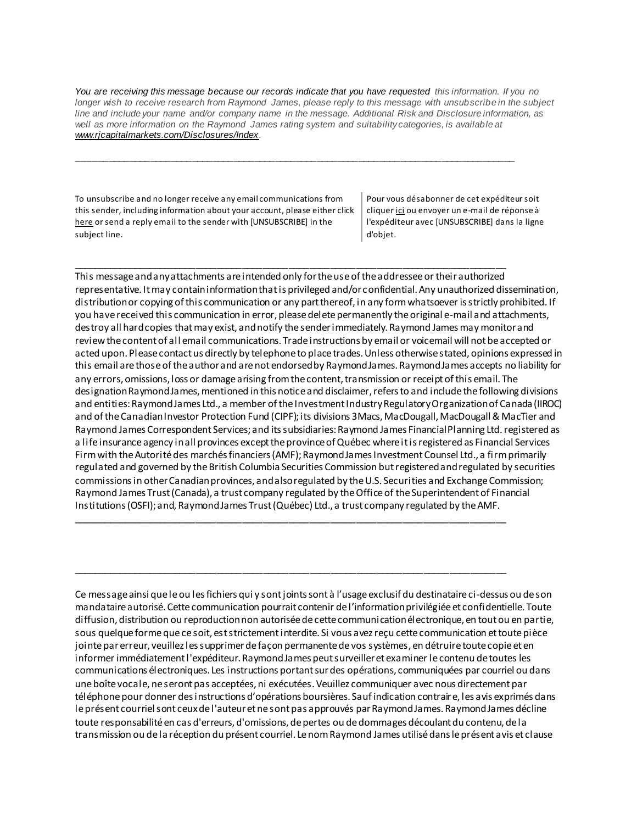*You are receiving this message because our records indicate that you have requested this information. If you no longer wish to receive research from Raymond James, please reply to this message with unsubscribe in the subject line and include your name and/or company name in the message. Additional Risk and Disclosure information, as*  well as more information on the Raymond James rating system and suitability categories, is available at *[www.rjcapitalmarkets.com/Disclosures/Index.](https://urldefense.proofpoint.com/v2/url?u=https-3A__na01.safelinks.protection.outlook.com_-3Furl-3Dhttps-253A-252F-252Furldefense.proofpoint.com-252Fv2-252Furl-253Fu-253Dhttps-2D3A-5F-5Fnam11.safelinks.protection.outlook.com-5F-2D3Furl-2D3Dhttps-2D253A-2D252F-2D252Fowa-2D2Dkel.raymondjames.ca-2D252Fowa-2D252Fredir.aspx-2D253FSURL-2D253DxhOB4gpVfLOskwdkUL9L2f18Fq4IG2rgvMfuIIX7BlwZiacj7DPTCGgAdAB0AHAAOgAvAC8AdwB3AHcALgByAGoAYwBhAHAAaQB0AGEAbABtAGEAcgBrAGUAdABzAC4AYwBvAG0ALwBEAGkAcwBjAGwAbwBzAHUAcgBlAHMALwBJAG4AZABlAHgA-2D2526URL-2D253Dhttp-2D25253a-2D25252f-2D25252fwww.rjcapitalmarkets.com-2D25252fDisclosures-2D25252fIndex-2D26data-2D3D02-2D257C01-2D257C-2D257Cc172461ecbee4482512908d85e8192cf-2D257C84df9e7fe9f640afb435aaaaaaaaaaaa-2D257C1-2D257C0-2D257C637363258183655664-2D26sdata-2D3DoIGN-2D252B1v-2D252BJNQ-2D252BZPo1ywEHtDOfbELe3OmLG-2D252FFg-2D252FM3Utoc-2D253D-2D26reserved-2D3D0-2526d-253DDwMF-2Dg-2526c-253DK3dQCUGiI1B95NJ6cl3GoyhMW2dvBOfimZA-2D83UXll0-2526r-253D-5F6MBBSGYsFznIBwslhTiqBKEz4pHUCTd-5F9tbh-5FEpUMY-2526m-253D7qOaEnVxLdGuCP74qXGTNk9xkBSFm8R3CYYmRfTv9PQ-2526s-253DDBdK-5FpzBuQHicYmhkDa-2D8JlRVcVl-2Doi24aL-5FwseaH40-2526e-253D-26data-3D04-257C01-257C-257Cd7befaa6204e4970b3c708d940d9c59b-257C84df9e7fe9f640afb435aaaaaaaaaaaa-257C1-257C0-257C637612126570807637-257CUnknown-257CTWFpbGZsb3d8eyJWIjoiMC4wLjAwMDAiLCJQIjoiV2luMzIiLCJBTiI6Ik1haWwiLCJXVCI6Mn0-253D-257C1000-26sdata-3D42WFytg2nJigwFv25rXxW91ml6-252BCn4KvME5M-252BcAoInY-253D-26reserved-3D0&d=DwMGaQ&c=6lBq1l7u-nYp55J7Pl8O6Ib5YT4g76ov0zCpXQrgS5M&r=TmDOHaoWW3RetfvnGoPae_UczKZXXQgvJPe_P66GVYI&m=Hg8p8oxWBi-8j3HS2BzGxBvIXidcreERuI3mj9N1_KY&s=yWJS6c4Wff_BUzjMT1YI3oJyIFTiCn7WNVr3YMhaYIk&e=)*

\_\_\_\_\_\_\_\_\_\_\_\_\_\_\_\_\_\_\_\_\_\_\_\_\_\_\_\_\_\_\_\_\_\_\_\_\_\_\_\_\_\_\_\_\_\_\_\_\_\_\_\_\_\_\_\_\_\_\_\_\_\_\_\_\_\_\_\_\_\_\_\_\_\_\_\_\_\_\_\_\_\_\_\_

\_\_\_\_\_\_\_\_\_\_\_\_\_\_\_\_\_\_\_\_\_\_\_\_\_\_\_\_\_\_\_\_\_\_\_\_\_\_\_\_\_\_\_\_\_\_\_\_\_\_\_\_\_\_\_\_\_\_\_\_\_\_\_\_\_\_\_\_\_\_\_\_\_\_\_\_\_\_\_\_\_\_\_\_

\_\_\_\_\_\_\_\_\_\_\_\_\_\_\_\_\_\_\_\_\_\_\_\_\_\_\_\_\_\_\_\_\_\_\_\_\_\_\_\_\_\_\_\_\_\_\_\_\_\_\_\_\_\_\_\_\_\_\_\_\_\_\_\_\_\_\_\_\_\_\_\_\_\_\_\_\_\_\_\_\_\_\_\_

\_\_\_\_\_\_\_\_\_\_\_\_\_\_\_\_\_\_\_\_\_\_\_\_\_\_\_\_\_\_\_\_\_\_\_\_\_\_\_\_\_\_\_\_\_\_\_\_\_\_\_\_\_\_\_\_\_\_\_\_\_\_\_\_\_\_\_\_\_\_\_\_\_\_\_\_\_\_\_\_\_\_\_\_

To unsubscribe and no longer receive any email communications from this sender, including information about your account, please either click [here](mailto:paul.siluch@raymondjames.ca?subject=[UNSUBSCRIBE]&body=I%20wish%20to%20unsubscribe%20from%20all%20commercial%20electronic%20messages%20from%20this%20sender.%20%20There%20may%20be%20other%20employees%20or%20agents%20within%20Raymond%20James%20which%20communicate%20with%20me%20electronically%20and%20I%20understand%20that%20I%20may%20unsubscribe%20from%20these%20senders%20separately.) or send a reply email to the sender with [UNSUBSCRIBE] in the subject line.

Pour vous désabonner de cet expéditeur soit clique[r ici](mailto:paul.siluch@raymondjames.ca?subject=[UNSUBSCRIBE]&body=Je%20souhaite%20me%20désinscrire%20de%20tous%20les%20messages%20électroniques%20commerciaux.%20Il%20peut%20y%20avoir%20d) ou envoyer un e-mail de réponse à l'expéditeur avec [UNSUBSCRIBE] dans la ligne d'objet.

This message and any attachments are intended only for the use of the addressee or their authorized representative. It may contain information that is privileged and/or confidential. Any unauthorized dissemination, distribution or copying of this communication or any part thereof, in any form whatsoever is strictly prohibited. If you have received this communication in error, please delete permanently the original e-mail and attachments, destroy all hard copies that may exist, and notify the sender immediately. Raymond James may monitor and review the content of all email communications. Trade instructions by email or voicemail will not be accepted or acted upon. Please contact us directly by telephone to place trades. Unless otherwise stated, opinions expressed in this email are those of the author and are not endorsed by Raymond James. Raymond James accepts no liability for any errors, omissions, loss or damage arising from the content, transmission or receipt of this email. The designation Raymond James, mentioned in this notice and disclaimer, refers to and include the following divisions and entities: Raymond James Ltd., a member of the Investment Industry Regulatory Organization of Canada (IIROC) and of the Canadian Investor Protection Fund (CIPF); its divisions 3Macs, MacDougall, MacDougall & MacTier and Raymond James Correspondent Services; and its subsidiaries: Raymond James Financial Planning Ltd. registered as a life insurance agency in all provinces except the province of Québec where it is registered as Financial Services Firm with the Autorité des marchés financiers (AMF); Raymond James Investment Counsel Ltd., a firm primarily regulated and governed by the British Columbia Securities Commission but registered and regulated by securities commissions in other Canadian provinces, and also regulated by the U.S. Securities and Exchange Commission; Raymond James Trust (Canada), a trust company regulated by the Office of the Superintendent of Financial Institutions (OSFI); and, Raymond James Trust (Québec) Ltd., a trust company regulated by the AMF.

Ce message ainsi que le ou les fichiers qui y sont joints sont à l'usage exclusif du destinataire ci-dessus ou de son mandataire autorisé. Cette communication pourrait contenir de l'information privilégiée et confidentielle. Toute diffusion, distribution ou reproduction non autorisée de cette communication électronique, en tout ou en partie, sous quelque forme que ce soit, est strictement interdite. Si vous avez reçu cette communication et toute pièce jointe par erreur, veuillez les supprimer de façon permanente de vos systèmes, en détruire toute copie et en informer immédiatement l'expéditeur. Raymond James peut surveiller et examiner le contenu de toutes les communications électroniques. Les instructions portant sur des opérations, communiquées par courriel ou dans une boîte vocale, ne seront pas acceptées, ni exécutées. Veuillez communiquer avec nous directement par téléphone pour donner des instructions d'opérations boursières. Sauf indication contraire, les avis exprimés dans le présent courriel sont ceux de l'auteur et ne sont pas approuvés par Raymond James. Raymond James décline toute responsabilité en cas d'erreurs, d'omissions, de pertes ou de dommages découlant du contenu, de la transmission ou de la réception du présent courriel. Le nom Raymond James utilisé dans le présent avis et clause